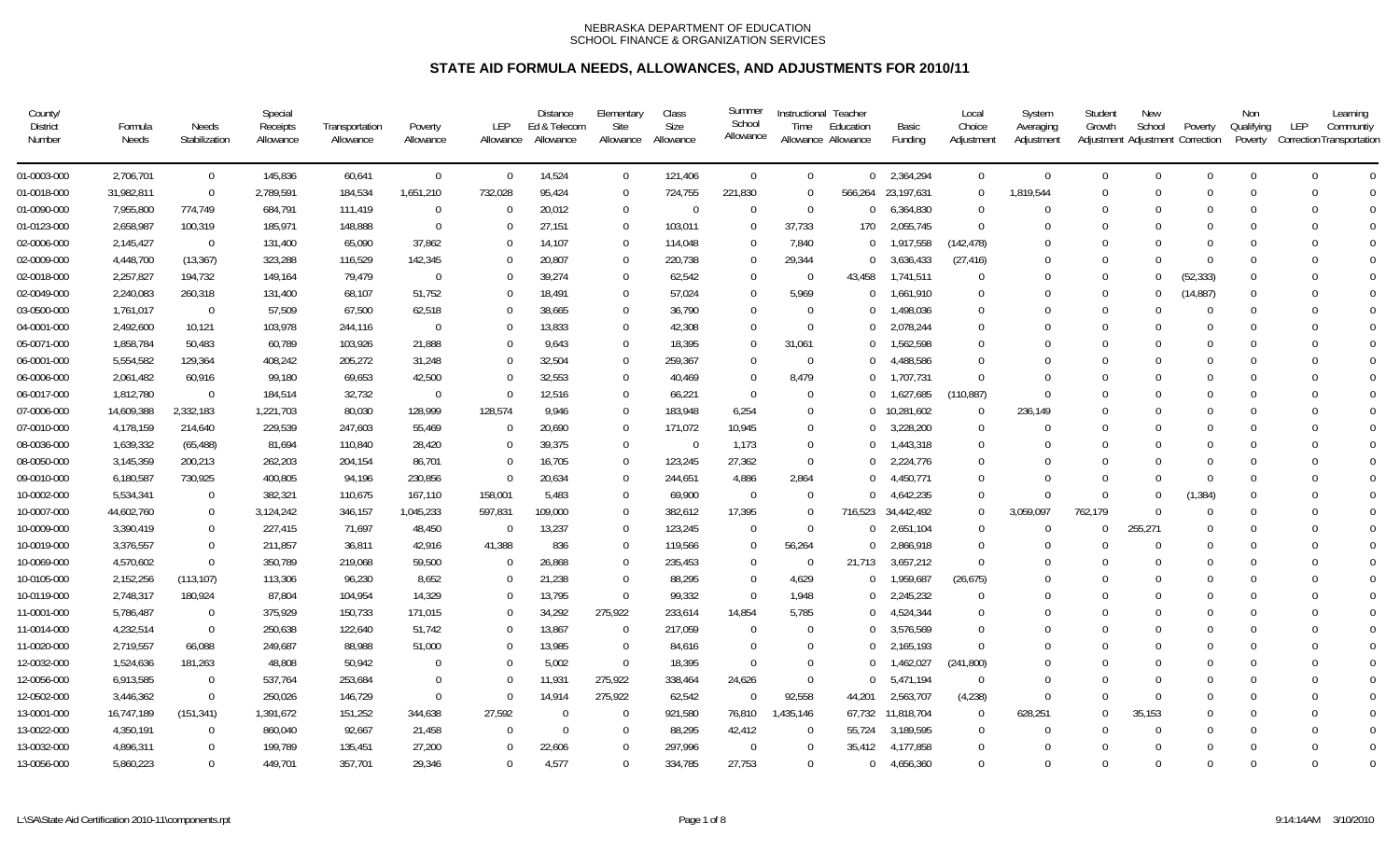| County/<br><b>District</b><br>Number | Formula<br>Needs | Needs<br>Stabilization | Special<br>Receipts<br>Allowance | Transportation<br>Allowance | Poverty<br>Allowance | <b>LEP</b><br>Allowance | <b>Distance</b><br>Ed & Telecom<br>Allowance | Elementary<br>Site<br>Allowance | Class<br><b>Size</b><br>Allowance | Summer<br>School<br>Allowance | Instructional Teacher<br>Time | Education<br>Allowance Allowance | Basic<br>Funding   | Local<br>Choice<br>Adjustment | System<br>Averaging<br>Adjustment | Student<br>Growth | <b>New</b><br>School | Poverty<br>Adjustment Adjustment Correction | Non<br>Qualifying<br>Poverty | Learning<br>LEP<br>Communtiv<br>Correction Transportation |
|--------------------------------------|------------------|------------------------|----------------------------------|-----------------------------|----------------------|-------------------------|----------------------------------------------|---------------------------------|-----------------------------------|-------------------------------|-------------------------------|----------------------------------|--------------------|-------------------------------|-----------------------------------|-------------------|----------------------|---------------------------------------------|------------------------------|-----------------------------------------------------------|
| 01-0003-000                          | 2,706,701        | $\mathbf 0$            | 145,836                          | 60,641                      | $\mathbf 0$          | $\mathbf 0$             | 14,524                                       | $\Omega$                        | 121,406                           | $\Omega$                      | $\mathbf 0$                   |                                  | $0$ 2,364,294      | $\Omega$                      | $\Omega$                          | $\Omega$          | $\mathbf 0$          | $\Omega$                                    | $\Omega$                     | $\Omega$<br>$\Omega$                                      |
| 01-0018-000                          | 31,982,811       | $\mathbf 0$            | 2,789,591                        | 184,534                     | 1,651,210            | 732,028                 | 95,424                                       | $\Omega$                        | 724,755                           | 221,830                       | $\overline{0}$                |                                  | 566,264 23,197,631 | $\mathbf 0$                   | 1,819,544                         | $\Omega$          | $\mathbf 0$          | $\Omega$                                    | $\Omega$                     | $\Omega$<br>$\Omega$                                      |
| 01-0090-000                          | 7,955,800        | 774,749                | 684,791                          | 111,419                     | $\Omega$             | $\Omega$                | 20,012                                       | $\Omega$                        | $\overline{0}$                    | $\Omega$                      | $\Omega$                      | $\overline{0}$                   | 6,364,830          | $\Omega$                      | $\Omega$                          | $\Omega$          | $\Omega$             |                                             | $\Omega$                     | $\Omega$<br>$\Omega$                                      |
| 01-0123-000                          | 2,658,987        | 100,319                | 185,971                          | 148,888                     | $\Omega$             | $\Omega$                | 27,151                                       | $\Omega$                        | 103,011                           | $\Omega$                      | 37,733                        | 170                              | 2,055,745          | $\Omega$                      | $\Omega$                          |                   | $\Omega$             |                                             | $\Omega$                     | $\Omega$<br>$\Omega$                                      |
| 02-0006-000                          | 2,145,427        | $\Omega$               | 131,400                          | 65,090                      | 37,862               | $\Omega$                | 14,107                                       | $\Omega$                        | 114,048                           | $\Omega$                      | 7,840                         | $\Omega$                         | 1,917,558          | (142, 478)                    | $\Omega$                          |                   | $\Omega$             |                                             | $\Omega$                     | $\Omega$<br>$\Omega$                                      |
| 02-0009-000                          | 4,448,700        | (13, 367)              | 323,288                          | 116,529                     | 142,345              | $\Omega$                | 20,807                                       | $\Omega$                        | 220,738                           | $\Omega$                      | 29,344                        | $^{\circ}$                       | 3,636,433          | (27, 416)                     | 0                                 |                   | $\Omega$             | $\Omega$                                    | $\Omega$                     | $\Omega$                                                  |
| 02-0018-000                          | 2,257,827        | 194,732                | 149,164                          | 79,479                      | $\Omega$             | $\Omega$                | 39,274                                       | $\Omega$                        | 62,542                            | $\mathbf{0}$                  | $\overline{0}$                | 43,458                           | 1,741,511          | $\Omega$                      |                                   | $\Omega$          | $\Omega$             | (52, 333)                                   | $\Omega$                     | $\bigcap$<br>$\Omega$                                     |
| 02-0049-000                          | 2,240,083        | 260,318                | 131,400                          | 68,107                      | 51,752               | $\Omega$                | 18,491                                       | $\Omega$                        | 57,024                            | $\Omega$                      | 5,969                         | $\Omega$                         | 1,661,910          | $\Omega$                      | 0                                 | $\Omega$          | $\mathbf 0$          | (14, 887)                                   | $\Omega$                     | $\Omega$                                                  |
| 03-0500-000                          | 1,761,017        | $\Omega$               | 57,509                           | 67,500                      | 62,518               | $\Omega$                | 38,665                                       | $\Omega$                        | 36,790                            | $\Omega$                      | $\Omega$                      |                                  | 1,498,036          | $\Omega$                      | 0                                 | $\Omega$          | $\Omega$             | $\Omega$                                    | $\Omega$                     | $\bigcap$                                                 |
| 04-0001-000                          | 2,492,600        | 10,121                 | 103,978                          | 244,116                     | $\Omega$             | $\Omega$                | 13,833                                       | $\Omega$                        | 42,308                            | $\Omega$                      | $\Omega$                      |                                  | 2,078,244          | $\Omega$                      | 0                                 |                   | $\Omega$             |                                             | $\Omega$                     | $\bigcap$                                                 |
| 05-0071-000                          | 1,858,784        | 50,483                 | 60,789                           | 103,926                     | 21,888               | $\Omega$                | 9,643                                        | $\Omega$                        | 18,395                            | $\Omega$                      | 31,061                        |                                  | 1,562,598          | $\Omega$                      |                                   |                   | $\Omega$             |                                             | $\Omega$                     | $\Omega$<br>$\Omega$                                      |
| 06-0001-000                          | 5,554,582        | 129,364                | 408,242                          | 205,272                     | 31,248               | $\Omega$                | 32,504                                       | $\Omega$                        | 259,367                           | $\Omega$                      | $\Omega$                      | $\cap$                           | 4,488,586          | $\Omega$                      | $\Omega$                          |                   | $\Omega$             |                                             | $\Omega$                     | $\Omega$<br>$\Omega$                                      |
| 06-0006-000                          | 2,061,482        | 60,916                 | 99,180                           | 69,653                      | 42,500               | $\Omega$                | 32,553                                       | $\Omega$                        | 40,469                            | $\Omega$                      | 8,479                         |                                  | 1,707,731          | $\Omega$                      | $\Omega$                          |                   | $\Omega$             |                                             | $\Omega$                     | $\mathbf 0$<br>$\Omega$                                   |
| 06-0017-000                          | 1,812,780        | $\Omega$               | 184,514                          | 32,732                      | $\Omega$             | $\Omega$                | 12,516                                       | $\Omega$                        | 66,221                            | $\overline{0}$                | $\Omega$                      |                                  | 1,627,685          | (110, 887)                    | $\Omega$                          |                   | $\Omega$             |                                             | $\Omega$                     | $\Omega$                                                  |
| 07-0006-000                          | 14,609,388       | 2,332,183              | 1,221,703                        | 80,030                      | 128,999              | 128,574                 | 9,946                                        | $\Omega$                        | 183,948                           | 6,254                         | $\Omega$                      |                                  | 0 10,281,602       | $\Omega$                      | 236,149                           |                   | $\Omega$             |                                             | $\Omega$                     | $\bigcap$<br>$\Omega$                                     |
| 07-0010-000                          | 4,178,159        | 214,640                | 229,539                          | 247,603                     | 55,469               | $\Omega$                | 20,690                                       | $\Omega$                        | 171,072                           | 10,945                        | $\Omega$                      |                                  | 3,228,200          | $\Omega$                      | $\Omega$                          |                   | $\Omega$             |                                             | $\Omega$                     | $\Omega$<br>$\bigcap$                                     |
| 08-0036-000                          | 1,639,332        | (65, 488)              | 81,694                           | 110,840                     | 28,420               | $\Omega$                | 39,375                                       | $\Omega$                        | $\overline{0}$                    | 1,173                         | $\Omega$                      |                                  | 1,443,318          | $\Omega$                      |                                   |                   | $\Omega$             |                                             | $\Omega$                     |                                                           |
| 08-0050-000                          | 3,145,359        | 200,213                | 262,203                          | 204,154                     | 86,701               | $\Omega$                | 16,705                                       | $\mathbf 0$                     | 123,245                           | 27,362                        | $\overline{0}$                |                                  | 2,224,776          | $\Omega$                      |                                   |                   | $\Omega$             |                                             | $\Omega$                     | $\cap$                                                    |
| 09-0010-000                          | 6,180,587        | 730,925                | 400,805                          | 94,196                      | 230,856              | $\Omega$                | 20,634                                       | $\Omega$                        | 244,651                           | 4,886                         | 2,864                         |                                  | 4,450,771          | $\Omega$                      |                                   | $\Omega$          | $\Omega$             | $\Omega$                                    | $\Omega$                     | $\Omega$                                                  |
| 10-0002-000                          | 5,534,341        | $\overline{0}$         | 382,321                          | 110,675                     | 167,110              | 158,001                 | 5,483                                        | $\Omega$                        | 69,900                            | $\overline{0}$                | - 0                           | $\cup$                           | 4,642,235          | $\Omega$                      | $\Omega$                          | $\Omega$          | $\Omega$             | (1, 384)                                    | - 0                          | $\Omega$<br>$\Omega$                                      |
| 10-0007-000                          | 44,602,760       | $\Omega$               | 3,124,242                        | 346,157                     | 1,045,233            | 597,831                 | 109,000                                      | $\Omega$                        | 382,612                           | 17,395                        | $\Omega$                      | 716,523                          | 34,442,492         | $\Omega$                      | 3,059,097                         | 762,179           | $\Omega$             | $\Omega$                                    | $\Omega$                     | $\Omega$<br>$\Omega$                                      |
| 10-0009-000                          | 3,390,419        | $\overline{0}$         | 227,415                          | 71,697                      | 48,450               | $\Omega$                | 13,237                                       | $\Omega$                        | 123,245                           | $\Omega$                      | $\Omega$                      | $\Omega$                         | 2,651,104          | $\Omega$                      | $\Omega$                          | $\Omega$          | 255,271              |                                             | $\Omega$                     | $\Omega$                                                  |
| 10-0019-000                          | 3,376,557        | $\mathbf 0$            | 211,857                          | 36,811                      | 42,916               | 41,388                  | 836                                          | $\Omega$                        | 119,566                           | $\Omega$                      | 56,264                        |                                  | 2,866,918          | $\Omega$                      | $\Omega$                          | $\Omega$          | $\Omega$             |                                             | $\Omega$                     | $\Omega$                                                  |
| 10-0069-000                          | 4,570,602        | $\Omega$               | 350,789                          | 219,068                     | 59,500               | $\Omega$                | 26,868                                       | $\Omega$                        | 235,453                           | $\Omega$                      | $\overline{0}$                | 21,713                           | 3,657,212          | $\Omega$                      |                                   |                   | $\Omega$             |                                             | $\Omega$                     | $\Omega$                                                  |
| 10-0105-000                          | 2,152,256        | (113, 107)             | 113,306                          | 96,230                      | 8,652                | $\Omega$                | 21,238                                       | $\Omega$                        | 88,295                            | $\mathbf 0$                   | 4,629                         | $\Omega$                         | 1,959,687          | (26, 675)                     | 0                                 |                   | $\Omega$             |                                             | $\Omega$                     | $\Omega$                                                  |
| 10-0119-000                          | 2,748,317        | 180,924                | 87,804                           | 104,954                     | 14,329               | $\Omega$                | 13,795                                       | $\Omega$                        | 99,332                            | $\Omega$                      | 1,948                         |                                  | 2,245,232          | $\Omega$                      |                                   |                   | $\Omega$             |                                             | $\Omega$                     | $\bigcap$                                                 |
| 11-0001-000                          | 5,786,487        | $\overline{0}$         | 375,929                          | 150,733                     | 171,015              | $\Omega$                | 34,292                                       | 275,922                         | 233,614                           | 14,854                        | 5,785                         |                                  | 4,524,344          | $\Omega$                      |                                   |                   | $\Omega$             |                                             | $\Omega$                     | $\bigcap$                                                 |
| 11-0014-000                          | 4,232,514        | $\Omega$               | 250,638                          | 122,640                     | 51,742               | $\Omega$                | 13,867                                       | $\Omega$                        | 217,059                           | $\overline{0}$                | $\Omega$                      |                                  | 3,576,569          | $\Omega$                      |                                   |                   | $\Omega$             |                                             | $\Omega$                     | $\Omega$<br>$\Omega$                                      |
| 11-0020-000                          | 2,719,557        | 66,088                 | 249,687                          | 88,988                      | 51,000               | 0                       | 13,985                                       | $\Omega$                        | 84,616                            | $\Omega$                      | $\Omega$                      |                                  | 2,165,193          | $\Omega$                      | N                                 |                   | $\Omega$             |                                             | $\Omega$                     | $\overline{0}$<br>$\Omega$                                |
| 12-0032-000                          | 1,524,636        | 181,263                | 48,808                           | 50,942                      | $\Omega$             | $\Omega$                | 5,002                                        | $\overline{0}$                  | 18,395                            | $\Omega$                      | $\Omega$                      |                                  | 1,462,027          | (241, 800)                    | $\Omega$                          |                   | $\Omega$             |                                             | $\Omega$                     | $\mathbf 0$<br>$\Omega$                                   |
| 12-0056-000                          | 6,913,585        | $\Omega$               | 537,764                          | 253,684                     | $\Omega$             | $\Omega$                | 11,931                                       | 275,922                         | 338,464                           | 24,626                        | $\Omega$                      |                                  | 5,471,194          | $\Omega$                      | $\Omega$                          |                   | $\Omega$             |                                             | $\Omega$                     | $\Omega$                                                  |
| 12-0502-000                          | 3,446,362        | $\Omega$               | 250,026                          | 146,729                     | $\Omega$             | $\Omega$                | 14,914                                       | 275,922                         | 62,542                            | $\Omega$                      | 92,558                        | 44,201                           | 2,563,707          | (4,238)                       | $\Omega$                          | $\Omega$          | $\Omega$             |                                             | $\Omega$                     | $\Omega$                                                  |
| 13-0001-000                          | 16,747,189       | (151, 341)             | 1,391,672                        | 151,252                     | 344,638              | 27,592                  | $\Omega$                                     | $\Omega$                        | 921,580                           | 76,810                        | 1,435,146                     | 67,732                           | 11,818,704         | $\Omega$                      | 628,251                           | $\Omega$          | 35,153               |                                             | $\Omega$                     | $\Omega$                                                  |
| 13-0022-000                          | 4,350,191        | $\Omega$               | 860,040                          | 92,667                      | 21,458               | $\Omega$                | $\Omega$                                     | $\Omega$                        | 88,295                            | 42,412                        | - 0                           | 55,724                           | 3,189,595          | $\Omega$                      | $\Omega$                          | $\Omega$          | $\Omega$             |                                             | $\Omega$                     |                                                           |
| 13-0032-000                          | 4,896,311        | $\overline{0}$         | 199,789                          | 135,451                     | 27,200               | $\Omega$                | 22,606                                       | $\Omega$                        | 297,996                           | $\Omega$                      | $\overline{0}$                | 35,412                           | 4,177,858          | $\Omega$                      |                                   |                   | 0                    |                                             | $\Omega$                     | $\Omega$                                                  |
| 13-0056-000                          | 5,860,223        | $\mathbf{0}$           | 449,701                          | 357,701                     | 29,346               | $\Omega$                | 4,577                                        | $\Omega$                        | 334,785                           | 27,753                        | $\Omega$                      | $\overline{0}$                   | 4,656,360          | $\Omega$                      | $\Omega$                          | $\Omega$          | $\Omega$             |                                             | $\Omega$                     | $\Omega$<br>$\Omega$                                      |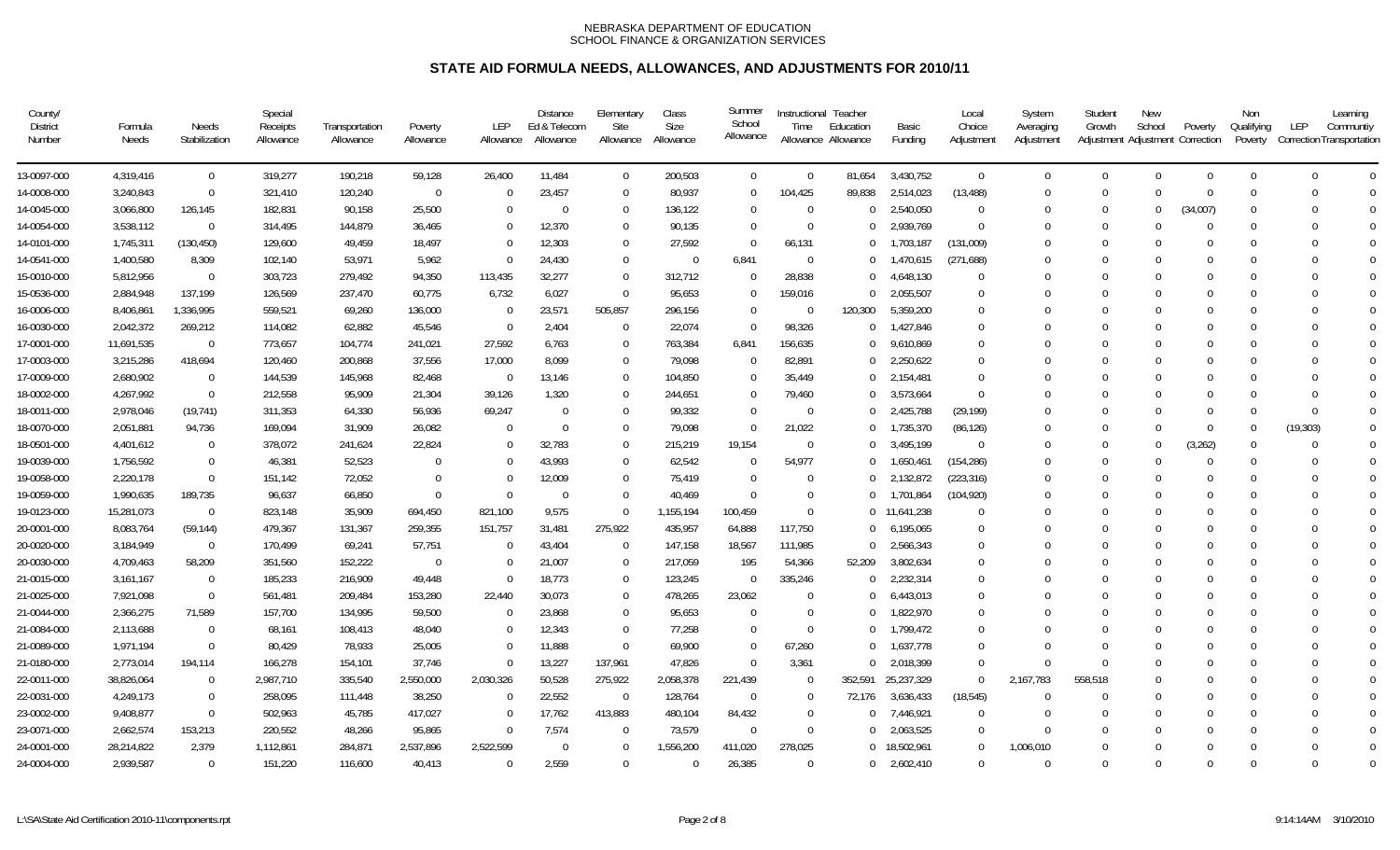| County/<br><b>District</b><br>Number | Formula<br>Needs | Needs<br>Stabilization | Special<br>Receipts<br>Allowance | Transportation<br>Allowance | Poverty<br>Allowance | <b>LEP</b><br>Allowance | <b>Distance</b><br>Ed & Telecom<br>Allowance | Elementary<br>Site<br>Allowance | Class<br>Size<br>Allowance | Summer<br>School<br>Allowance | Time           | Instructional Teacher<br>Education<br>Allowance Allowance | Basic<br>Funding | Local<br>Choice<br>Adjustment | System<br>Averaging<br>Adjustment | Student<br>Growth | New<br>School<br>Adjustment Adjustment Correction | Poverty  | Non<br>Qualifying<br>Poverty | Learning<br>LEP<br>Communtiy<br>Correction Transportation |             |
|--------------------------------------|------------------|------------------------|----------------------------------|-----------------------------|----------------------|-------------------------|----------------------------------------------|---------------------------------|----------------------------|-------------------------------|----------------|-----------------------------------------------------------|------------------|-------------------------------|-----------------------------------|-------------------|---------------------------------------------------|----------|------------------------------|-----------------------------------------------------------|-------------|
| 13-0097-000                          | 4,319,416        | $\mathbf 0$            | 319,277                          | 190,218                     | 59,128               | 26,400                  | 11,484                                       | $\mathbf 0$                     | 200,503                    | $\mathbf 0$                   | $\overline{0}$ | 81,654                                                    | 3,430,752        | $\overline{0}$                | $\mathbf 0$                       | $\Omega$          | $\mathbf{0}$                                      | $\Omega$ | $\Omega$                     | $\Omega$                                                  | $\Omega$    |
| 14-0008-000                          | 3,240,843        | $\mathbf 0$            | 321,410                          | 120,240                     | $\overline{0}$       | $\Omega$                | 23,457                                       | $\Omega$                        | 80,937                     | $\Omega$                      | 104,425        | 89,838                                                    | 2,514,023        | (13, 488)                     | $\Omega$                          | $\Omega$          | $\Omega$                                          | $\Omega$ | $\Omega$                     | $\Omega$                                                  | $\Omega$    |
| 14-0045-000                          | 3,066,800        | 126,145                | 182,831                          | 90,158                      | 25,500               | $\theta$                | $\Omega$                                     | $\Omega$                        | 136,122                    | $\Omega$                      | $\Omega$       |                                                           | 2,540,050        | $\Omega$                      |                                   | $\Omega$          | $\Omega$                                          | (34,007) | $\Omega$                     | $\Omega$                                                  | $\Omega$    |
| 14-0054-000                          | 3,538,112        | $\Omega$               | 314,495                          | 144,879                     | 36,465               | $\Omega$                | 12,370                                       | $\Omega$                        | 90,135                     | $\Omega$                      | $\Omega$       | $\Omega$                                                  | 2,939,769        | $\Omega$                      | $\Omega$                          | $\Omega$          | $\Omega$                                          | $\Omega$ | $\Omega$                     | $\Omega$                                                  | $\Omega$    |
| 14-0101-000                          | 1,745,311        | (130, 450)             | 129,600                          | 49,459                      | 18,497               | $\Omega$                | 12,303                                       | $\Omega$                        | 27,592                     | $\Omega$                      | 66,131         |                                                           | 1,703,187        | (131,009)                     |                                   |                   | $\Omega$                                          |          | $\Omega$                     | $\Omega$                                                  | $\mathbf 0$ |
| 14-0541-000                          | 1,400,580        | 8,309                  | 102,140                          | 53,971                      | 5,962                | $\Omega$                | 24,430                                       | $\Omega$                        | $\Omega$                   | 6,841                         | $\Omega$       | $\Omega$                                                  | 1,470,615        | (271, 688)                    |                                   |                   | $\Omega$                                          |          | $\Omega$                     |                                                           | $\Omega$    |
| 15-0010-000                          | 5,812,956        | $\Omega$               | 303,723                          | 279,492                     | 94,350               | 113,435                 | 32,277                                       | $\Omega$                        | 312,712                    | $\Omega$                      | 28,838         | $\Omega$                                                  | 4,648,130        | $\Omega$                      |                                   |                   | $\Omega$                                          |          | $\Omega$                     | $\Omega$                                                  | $\bigcap$   |
| 15-0536-000                          | 2,884,948        | 137,199                | 126,569                          | 237,470                     | 60,775               | 6,732                   | 6,027                                        | $\Omega$                        | 95,653                     | $\Omega$                      | 159,016        |                                                           | 2,055,507        | $\Omega$                      | 0                                 |                   | $\Omega$                                          |          | $\Omega$                     | $\Omega$                                                  | $\Omega$    |
| 16-0006-000                          | 8,406,861        | 1,336,995              | 559,521                          | 69,260                      | 136,000              | $\mathbf{0}$            | 23,571                                       | 505,857                         | 296,156                    | $\Omega$                      | $\overline{0}$ | 120,300                                                   | 5,359,200        | $\Omega$                      |                                   |                   | $\Omega$                                          |          | $\Omega$                     |                                                           | $\Omega$    |
| 16-0030-000                          | 2,042,372        | 269,212                | 114,082                          | 62,882                      | 45,546               | $\mathbf{0}$            | 2,404                                        | $\Omega$                        | 22,074                     | $\overline{0}$                | 98,326         | $\Omega$                                                  | 1,427,846        | $\Omega$                      |                                   |                   | $\Omega$                                          |          | $\Omega$                     |                                                           | $\Omega$    |
| 17-0001-000                          | 11,691,535       | $\overline{0}$         | 773,657                          | 104,774                     | 241,021              | 27,592                  | 6,763                                        | $\Omega$                        | 763,384                    | 6,841                         | 156,635        | $\Omega$                                                  | 9,610,869        | $\Omega$                      |                                   |                   | $\theta$                                          |          | $\Omega$                     | $\Omega$                                                  | $\Omega$    |
| 17-0003-000                          | 3,215,286        | 418,694                | 120,460                          | 200,868                     | 37,556               | 17,000                  | 8,099                                        | $\Omega$                        | 79,098                     | $\overline{0}$                | 82,891         | $\Omega$                                                  | 2,250,622        | $\Omega$                      | 0                                 |                   | $\Omega$                                          |          | $\Omega$                     | $\Omega$                                                  | $\Omega$    |
| 17-0009-000                          | 2,680,902        | $\mathbf 0$            | 144,539                          | 145,968                     | 82,468               | $\Omega$                | 13,146                                       | $\Omega$                        | 104,850                    | $\Omega$                      | 35,449         | $\Omega$                                                  | 2,154,481        | $\Omega$                      | $\Omega$                          |                   | $\Omega$                                          |          | $\Omega$                     | $\Omega$                                                  | $\Omega$    |
| 18-0002-000                          | 4,267,992        | $\Omega$               | 212,558                          | 95,909                      | 21,304               | 39,126                  | 1,320                                        | $\Omega$                        | 244,651                    | $\Omega$                      | 79,460         | $\cup$                                                    | 3,573,664        | $\Omega$                      | $\Omega$                          |                   | $\Omega$                                          |          | $\Omega$                     | $\Omega$                                                  | $\mathbf 0$ |
| 18-0011-000                          | 2,978,046        | (19, 741)              | 311,353                          | 64,330                      | 56,936               | 69,247                  | $\Omega$                                     | $\Omega$                        | 99,332                     | $\Omega$                      | - 0            | $\Omega$                                                  | 2,425,788        | (29, 199)                     |                                   | $\Omega$          | $\Omega$                                          | $\Omega$ | $\Omega$                     | $\Omega$                                                  | $\mathbf 0$ |
| 18-0070-000                          | 2,051,881        | 94,736                 | 169,094                          | 31,909                      | 26,082               | $\Omega$                | $\Omega$                                     | $\Omega$                        | 79,098                     | $\Omega$                      | 21,022         | $\Omega$                                                  | 1,735,370        | (86, 126)                     | $\Omega$                          | $\Omega$          | $\Omega$                                          | $\Omega$ | $\Omega$                     | (19, 303)                                                 | $\Omega$    |
| 18-0501-000                          | 4,401,612        | $\Omega$               | 378,072                          | 241,624                     | 22,824               | $\Omega$                | 32,783                                       | $\Omega$                        | 215,219                    | 19,154                        | $\overline{0}$ |                                                           | 3,495,199        | $\Omega$                      | $\Omega$                          | $\Omega$          | $\Omega$                                          | (3, 262) | $\Omega$                     | $\Omega$                                                  | $\Omega$    |
| 19-0039-000                          | 1,756,592        | $\mathbf 0$            | 46,381                           | 52,523                      | $\Omega$             | $\Omega$                | 43,993                                       | $\Omega$                        | 62,542                     | $\Omega$                      | 54,977         |                                                           | 1,650,461        | (154, 286)                    | 0                                 | $\Omega$          | $\Omega$                                          | $\Omega$ | $\Omega$                     | $\Omega$                                                  | $\Omega$    |
| 19-0058-000                          | 2,220,178        | $\overline{0}$         | 151,142                          | 72,052                      | $\Omega$             | $\Omega$                | 12,009                                       | $\Omega$                        | 75,419                     | $\Omega$                      | 0              |                                                           | 2,132,872        | (223, 316)                    |                                   |                   | $\Omega$                                          |          | $\Omega$                     | $\Omega$                                                  | $\Omega$    |
| 19-0059-000                          | 1,990,635        | 189,735                | 96,637                           | 66,850                      | $\Omega$             | $\Omega$                | $\Omega$                                     | $\Omega$                        | 40,469                     | $\Omega$                      | $\Omega$       | $\Omega$                                                  | 1,701,864        | (104, 920)                    | 0                                 |                   | $\Omega$                                          |          | $\Omega$                     | $\Omega$                                                  | $\Omega$    |
| 19-0123-000                          | 15,281,073       | $\Omega$               | 823,148                          | 35,909                      | 694,450              | 821,100                 | 9,575                                        | $\Omega$                        | 1,155,194                  | 100,459                       | $\Omega$       |                                                           | 0 11,641,238     | $\Omega$                      | 0                                 |                   | $\Omega$                                          |          | $\Omega$                     | $\Omega$                                                  | $\theta$    |
| 20-0001-000                          | 8,083,764        | (59, 144)              | 479,367                          | 131,367                     | 259,355              | 151,757                 | 31,481                                       | 275,922                         | 435,957                    | 64,888                        | 117,750        | $\cup$                                                    | 6,195,065        | $\Omega$                      | $\Omega$                          |                   | $\Omega$                                          |          | $\Omega$                     | $\Omega$                                                  | $\Omega$    |
| 20-0020-000                          | 3,184,949        | $\overline{0}$         | 170,499                          | 69,241                      | 57,751               | $\Omega$                | 43,404                                       | $\Omega$                        | 147,158                    | 18,567                        | 111,985        |                                                           | 2,566,343        | $\Omega$                      |                                   |                   | $\Omega$                                          |          |                              | $\Omega$                                                  | $\Omega$    |
| 20-0030-000                          | 4,709,463        | 58,209                 | 351,560                          | 152,222                     | $\Omega$             | $\Omega$                | 21,007                                       | $\Omega$                        | 217,059                    | 195                           | 54,366         | 52,209                                                    | 3,802,634        | $\Omega$                      | $\Omega$                          |                   | $\Omega$                                          |          | $\Omega$                     | $\Omega$                                                  | $\Omega$    |
| 21-0015-000                          | 3,161,167        | $\Omega$               | 185,233                          | 216,909                     | 49,448               | $\Omega$                | 18,773                                       | $\Omega$                        | 123,245                    | $\Omega$                      | 335,246        |                                                           | 2,232,314        | $\Omega$                      | $\Omega$                          |                   | $\Omega$                                          |          | $\Omega$                     | $\Omega$                                                  | $\bigcap$   |
| 21-0025-000                          | 7,921,098        | $\mathbf 0$            | 561,481                          | 209,484                     | 153,280              | 22,440                  | 30,073                                       | $\Omega$                        | 478,265                    | 23,062                        | $\Omega$       |                                                           | 6,443,013        | $\Omega$                      |                                   |                   | $\Omega$                                          |          | $\Omega$                     |                                                           | $\Omega$    |
| 21-0044-000                          | 2,366,275        | 71,589                 | 157,700                          | 134,995                     | 59,500               | $\mathbf{0}$            | 23,868                                       | $\Omega$                        | 95,653                     | $\Omega$                      | $\Omega$       |                                                           | 1,822,970        | $\Omega$                      |                                   |                   | $\Omega$                                          |          | $\Omega$                     | $\Omega$                                                  | $\Omega$    |
| 21-0084-000                          | 2,113,688        | $\mathbf 0$            | 68,161                           | 108,413                     | 48,040               | $\Omega$                | 12,343                                       | $\Omega$                        | 77,258                     | $\Omega$                      | $\Omega$       | $\Omega$                                                  | 1,799,472        | $\Omega$                      | $\Omega$                          |                   | $\Omega$                                          |          | $\Omega$                     | $\Omega$                                                  | $\Omega$    |
| 21-0089-000                          | 1,971,194        | $\Omega$               | 80,429                           | 78,933                      | 25,005               | $\Omega$                | 11,888                                       | $\Omega$                        | 69,900                     | $\overline{0}$                | 67,260         | $\Omega$                                                  | 1,637,778        | $\Omega$                      | $\Omega$                          | $\Omega$          | $\Omega$                                          |          | $\Omega$                     | $\Omega$                                                  | $\theta$    |
| 21-0180-000                          | 2,773,014        | 194,114                | 166,278                          | 154,101                     | 37,746               | $\Omega$                | 13,227                                       | 137,961                         | 47,826                     | $\Omega$                      | 3,361          | $\cap$                                                    | 2,018,399        | $\Omega$                      | $\Omega$                          | $\Omega$          | $\Omega$                                          |          | $\Omega$                     | $\Omega$                                                  | $\Omega$    |
| 22-0011-000                          | 38,826,064       | $\overline{0}$         | 2,987,710                        | 335,540                     | 2,550,000            | 2,030,326               | 50,528                                       | 275,922                         | 2,058,378                  | 221,439                       | $\Omega$       | 352,591                                                   | 25,237,329       | $\Omega$                      | 2,167,783                         | 558,518           | $\Omega$                                          |          | $\Omega$                     | $\Omega$                                                  | $\Omega$    |
| 22-0031-000                          | 4,249,173        | $\overline{0}$         | 258,095                          | 111,448                     | 38,250               | $\Omega$                | 22,552                                       | $\overline{0}$                  | 128,764                    | $\overline{0}$                | - 0            | 72,176                                                    | 3,636,433        | (18, 545)                     | $\Omega$                          | $\Omega$          | $\Omega$                                          |          | $\Omega$                     | $\Omega$                                                  | $\bigcap$   |
| 23-0002-000                          | 9,408,877        | $\Omega$               | 502,963                          | 45,785                      | 417,027              | $\Omega$                | 17,762                                       | 413,883                         | 480,104                    | 84,432                        | $\overline{0}$ |                                                           | 7,446,921        | $\Omega$                      | $\mathbf 0$                       | $\Omega$          | $\Omega$                                          |          | $\Omega$                     | $\Omega$                                                  |             |
| 23-0071-000                          | 2,662,574        | 153,213                | 220,552                          | 48,266                      | 95,865               | $\Omega$                | 7,574                                        | $\Omega$                        | 73,579                     | $\Omega$                      | $\theta$       |                                                           | 2,063,525        | $\Omega$                      | $\Omega$                          |                   | $\Omega$                                          |          | $\Omega$                     |                                                           | $\bigcap$   |
| 24-0001-000                          | 28,214,822       | 2,379                  | 1,112,861                        | 284,871                     | 2,537,896            | 2,522,599               | $\Omega$                                     | $\Omega$                        | 1,556,200                  | 411,020                       | 278,025        |                                                           | 0 18,502,961     | $\Omega$                      | 1,006,010                         |                   | $\Omega$                                          |          | $\Omega$                     | $\Omega$                                                  | $\bigcap$   |
| 24-0004-000                          | 2,939,587        | $\Omega$               | 151,220                          | 116,600                     | 40,413               | $\Omega$                | 2,559                                        | $\Omega$                        | $\Omega$                   | 26,385                        | $\Omega$       |                                                           | $0$ 2,602,410    | $\Omega$                      | $\Omega$                          | $\Omega$          | $\Omega$                                          |          | $\Omega$                     | $\Omega$                                                  | $\Omega$    |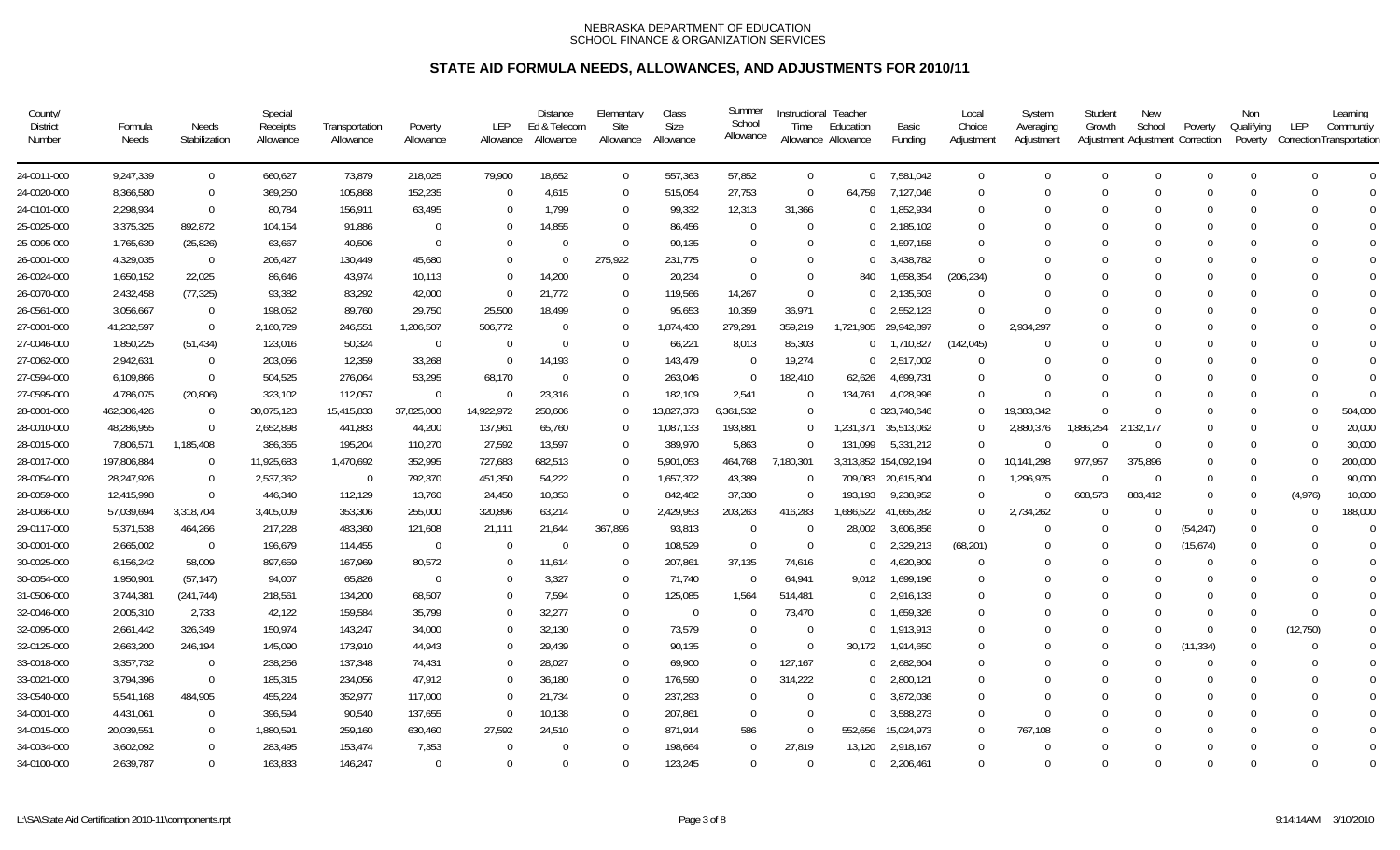| County/<br><b>District</b><br>Number | Formula<br>Needs | Needs<br>Stabilization | Special<br>Receipts<br>Allowance | Transportation<br>Allowance | Poverty<br>Allowance | LEP<br>Allowance | <b>Distance</b><br>Ed & Telecom<br>Allowance | Elementary<br>Site<br>Allowance | Class<br><b>Size</b><br>Allowance | Summer<br>School<br>Allowance | Time           | Instructional Teacher<br>Education<br>Allowance Allowance | Basic<br>Funding      | Local<br>Choice<br>Adjustment | System<br>Averaging<br>Adjustment | Student<br>Growth | <b>New</b><br>School | Poverty<br>Adjustment Adjustment Correction | Non<br>Qualifying<br>Poverty | LEP<br>Correction Transportation | Learning<br>Communtiy |
|--------------------------------------|------------------|------------------------|----------------------------------|-----------------------------|----------------------|------------------|----------------------------------------------|---------------------------------|-----------------------------------|-------------------------------|----------------|-----------------------------------------------------------|-----------------------|-------------------------------|-----------------------------------|-------------------|----------------------|---------------------------------------------|------------------------------|----------------------------------|-----------------------|
| 24-0011-000                          | 9,247,339        | $\overline{0}$         | 660,627                          | 73,879                      | 218,025              | 79,900           | 18,652                                       | $\overline{0}$                  | 557,363                           | 57,852                        | $\Omega$       |                                                           | 0 7,581,042           | $\Omega$                      | $\Omega$                          | $\Omega$          | $\Omega$             | $\Omega$                                    | $\Omega$                     | $\Omega$                         | $\Omega$              |
| 24-0020-000                          | 8,366,580        | $\overline{0}$         | 369,250                          | 105,868                     | 152,235              | $\Omega$         | 4.615                                        | $\Omega$                        | 515,054                           | 27,753                        | $\overline{0}$ | 64.759                                                    | 7,127,046             | $\Omega$                      | $\Omega$                          | $\Omega$          | $\Omega$             | $\Omega$                                    | $\Omega$                     | $\Omega$                         | $\Omega$              |
| 24-0101-000                          | 2,298,934        | $\overline{0}$         | 80,784                           | 156,911                     | 63,495               | $\Omega$         | 1.799                                        | $\Omega$                        | 99,332                            | 12,313                        | 31,366         | $\cup$                                                    | 1,852,934             | $\Omega$                      | $\Omega$                          | $\cup$            | 0                    | $\Omega$                                    | $\Omega$                     | ∩                                | $\Omega$              |
| 25-0025-000                          | 3,375,325        | 892,872                | 104,154                          | 91,886                      | $\Omega$             | $\mathbf 0$      | 14,855                                       | $\Omega$                        | 86,456                            | $\Omega$                      | $\overline{0}$ | $\Omega$                                                  | 2,185,102             | -0                            | $\Omega$                          | $\Omega$          | 0                    | $\Omega$                                    | $\Omega$                     | 0                                | $\Omega$              |
| 25-0095-000                          | 1,765,639        | (25, 826)              | 63,667                           | 40,506                      | $\Omega$             | $\Omega$         | $\Omega$                                     | $\Omega$                        | 90,135                            | $\Omega$                      | $\Omega$       | $\Omega$                                                  | 1,597,158             | -0                            | 0                                 | $\Omega$          | 0                    | $\Omega$                                    | $\Omega$                     |                                  | $\Omega$              |
| 26-0001-000                          | 4,329,035        | $\overline{0}$         | 206,427                          | 130,449                     | 45,680               | $\Omega$         | $\Omega$                                     | 275,922                         | 231,775                           | $\Omega$                      | $\Omega$       | $\cup$                                                    | 3,438,782             | $\Omega$                      |                                   |                   | 0                    | $\Omega$                                    | $\Omega$                     |                                  | $\Omega$              |
| 26-0024-000                          | 1,650,152        | 22,025                 | 86,646                           | 43.974                      | 10,113               | $\Omega$         | 14,200                                       | $\Omega$                        | 20,234                            | $\Omega$                      | $\Omega$       | 840                                                       | 1,658,354             | (206, 234)                    | 0                                 | $\Omega$          | $\Omega$             | $\Omega$                                    | $\Omega$                     | $\Omega$                         | $\Omega$              |
| 26-0070-000                          | 2,432,458        | (77, 325)              | 93,382                           | 83,292                      | 42,000               | $\Omega$         | 21,772                                       | $\Omega$                        | 119,566                           | 14,267                        | $\Omega$       | $\Omega$                                                  | 2,135,503             | $\Omega$                      | $\Omega$                          |                   | $\Omega$             | $\Omega$                                    | $\Omega$                     |                                  |                       |
| 26-0561-000                          | 3,056,667        | $\overline{0}$         | 198,052                          | 89,760                      | 29,750               | 25,500           | 18,499                                       | $\Omega$                        | 95,653                            | 10,359                        | 36,971         | $\cup$                                                    | 2,552,123             | $\Omega$                      | U                                 | $\Omega$          | $\Omega$             | $\Omega$                                    | $\Omega$                     |                                  | $\Omega$              |
| 27-0001-000                          | 41,232,597       | $\overline{0}$         | 2,160,729                        | 246,551                     | 1,206,507            | 506,772          | $\Omega$                                     | $\Omega$                        | 1,874,430                         | 279,291                       | 359,219        | 1,721,905                                                 | 29,942,897            | $\Omega$                      | 2,934,297                         |                   | 0                    | $\Omega$                                    | $\Omega$                     |                                  | $\Omega$              |
| 27-0046-000                          | 1,850,225        | (51, 434)              | 123,016                          | 50,324                      | $\Omega$             | $\Omega$         | $\Omega$                                     | $\Omega$                        | 66,221                            | 8,013                         | 85,303         | $\overline{0}$                                            | 1,710,827             | (142, 045)                    | $\Omega$                          | $\Omega$          | 0                    | $\Omega$                                    | $\Omega$                     | $\Omega$                         | $\Omega$              |
| 27-0062-000                          | 2,942,631        | $\overline{0}$         | 203,056                          | 12,359                      | 33,268               | $\Omega$         | 14,193                                       | $\Omega$                        | 143,479                           | $\Omega$                      | 19,274         | $\Omega$                                                  | 2,517,002             | $\Omega$                      | U                                 | $\Omega$          | 0                    | $\Omega$                                    | $\Omega$                     | ∩                                | $\Omega$              |
| 27-0594-000                          | 6,109,866        | $\overline{0}$         | 504,525                          | 276,064                     | 53,295               | 68,170           | $\Omega$                                     | $\Omega$                        | 263,046                           | $\Omega$                      | 182,410        | 62,626                                                    | 4,699,731             | $\Omega$                      | $\Omega$                          | $\Omega$          | $\Omega$             | $\Omega$                                    | $\Omega$                     | $\Omega$                         | $\overline{0}$        |
| 27-0595-000                          | 4,786,075        | (20, 806)              | 323,102                          | 112,057                     | $\Omega$             | $\Omega$         | 23,316                                       | $\Omega$                        | 182,109                           | 2,541                         | $\Omega$       | 134.761                                                   | 4,028,996             | $\Omega$                      | $\Omega$                          | $\Omega$          | $\Omega$             | $\Omega$                                    | $\Omega$                     | $\Omega$                         | $\Omega$              |
| 28-0001-000                          | 462,306,426      | $\overline{0}$         | 30,075,123                       | 15,415,833                  | 37,825,000           | 14,922,972       | 250,606                                      | $\Omega$                        | 13,827,373                        | 6,361,532                     | $\Omega$       |                                                           | 0 323,740,646         | $\Omega$                      | 19,383,342                        | $\Omega$          | $\Omega$             | $\Omega$                                    | $\Omega$                     | $\Omega$                         | 504,000               |
| 28-0010-000                          | 48,286,955       | $\overline{0}$         | 2,652,898                        | 441,883                     | 44,200               | 137,961          | 65,760                                       | $\Omega$                        | 1,087,133                         | 193,881                       | $\Omega$       |                                                           | 1,231,371 35,513,062  | -0                            | 2,880,376                         | 1,886,254         | 2,132,177            | $\Omega$                                    | $\Omega$                     |                                  | 20,000                |
| 28-0015-000                          | 7,806,571        | 1,185,408              | 386,355                          | 195,204                     | 110,270              | 27,592           | 13,597                                       | $\Omega$                        | 389,970                           | 5,863                         | $\Omega$       | 131,099                                                   | 5,331,212             | $\Omega$                      | $\Omega$                          | $\Omega$          | $\Omega$             | $\Omega$                                    | $\Omega$                     |                                  | 30,000                |
| 28-0017-000                          | 197,806,884      | - 0                    | 11,925,683                       | 1,470,692                   | 352,995              | 727,683          | 682,513                                      | $\Omega$                        | 5,901,053                         | 464,768                       | 7,180,301      |                                                           | 3,313,852 154,092,194 | $\Omega$                      | 10,141,298                        | 977,957           | 375,896              | $\Omega$                                    | $\Omega$                     | <sup>0</sup>                     | 200,000               |
| 28-0054-000                          | 28,247,926       | $\overline{0}$         | 2,537,362                        | $\overline{0}$              | 792,370              | 451,350          | 54,222                                       | $\Omega$                        | 1,657,372                         | 43,389                        | $\overline{0}$ | 709,083                                                   | 20,615,804            | $\Omega$                      | 1,296,975                         | $\Omega$          | $\Omega$             | $\Omega$                                    | $\Omega$                     | $\Omega$                         | 90,000                |
| 28-0059-000                          | 12,415,998       | $\overline{0}$         | 446,340                          | 112,129                     | 13,760               | 24,450           | 10,353                                       | $\Omega$                        | 842,482                           | 37,330                        | $\overline{0}$ | 193.193                                                   | 9,238,952             | $\Omega$                      | $\overline{0}$                    | 608,573           | 883,412              | $\Omega$                                    | $\Omega$                     | (4,976)                          | 10,000                |
| 28-0066-000                          | 57,039,694       | 3,318,704              | 3,405,009                        | 353,306                     | 255,000              | 320,896          | 63,214                                       | $\Omega$                        | 2,429,953                         | 203,263                       | 416,283        | 1,686,522                                                 | 41,665,282            | $\Omega$                      | 2,734,262                         | $\Omega$          | $\Omega$             | $\Omega$                                    | $\Omega$                     | <sup>0</sup>                     | 188,000               |
| 29-0117-000                          | 5,371,538        | 464,266                | 217,228                          | 483,360                     | 121,608              | 21,111           | 21,644                                       | 367,896                         | 93,813                            | $\Omega$                      | $\Omega$       | 28,002                                                    | 3,606,856             | $\Omega$                      | $\Omega$                          | $\Omega$          | $\Omega$             | (54, 247)                                   | $\Omega$                     | 0                                | $\overline{0}$        |
| 30-0001-000                          | 2,665,002        | $\overline{0}$         | 196,679                          | 114,455                     | $\Omega$             | $\Omega$         | $\Omega$                                     | $\Omega$                        | 108,529                           | $\Omega$                      | $\Omega$       | $\Omega$                                                  | 2,329,213             | (68, 201)                     | $\Omega$                          | $\Omega$          | $\Omega$             | (15,674)                                    | $\Omega$                     |                                  | $\Omega$              |
| 30-0025-000                          | 6,156,242        | 58,009                 | 897,659                          | 167,969                     | 80,572               | $\Omega$         | 11,614                                       | $\Omega$                        | 207,861                           | 37,135                        | 74,616         | $\Omega$                                                  | 4,620,809             | $\Omega$                      | 0                                 | $\Omega$          | $\Omega$             | $\Omega$                                    | $\Omega$                     | <sup>0</sup>                     | $\Omega$              |
| 30-0054-000                          | 1,950,901        | (57, 147)              | 94,007                           | 65,826                      | $\Omega$             | $\Omega$         | 3,327                                        | $\Omega$                        | 71,740                            | $\Omega$                      | 64,941         | 9,012                                                     | 1,699,196             | -0                            | 0                                 | $\Omega$          | 0                    | $\Omega$                                    | $\Omega$                     | ∩                                |                       |
| 31-0506-000                          | 3,744,381        | (241, 744)             | 218,561                          | 134,200                     | 68,507               | $\Omega$         | 7,594                                        | $\Omega$                        | 125,085                           | 1,564                         | 514,481        | $\Omega$                                                  | 2,916,133             | $\Omega$                      |                                   | $\Omega$          | 0                    | $\Omega$                                    | $\Omega$                     | $\Omega$                         | $\Omega$              |
| 32-0046-000                          | 2,005,310        | 2,733                  | 42,122                           | 159,584                     | 35,799               | $\Omega$         | 32,277                                       | $\Omega$                        | $\overline{0}$                    | $\Omega$                      | 73,470         | $\Omega$                                                  | 1,659,326             | $\Omega$                      | U                                 | $\Omega$          | 0                    | $\Omega$                                    | $\Omega$                     | $\Omega$                         | $\Omega$              |
| 32-0095-000                          | 2,661,442        | 326,349                | 150,974                          | 143,247                     | 34,000               | $\Omega$         | 32,130                                       | $\Omega$                        | 73,579                            | $\Omega$                      | $\overline{0}$ | $\cup$                                                    | 1,913,913             | $\Omega$                      |                                   | $\cup$            | 0                    | $\Omega$                                    | $\Omega$                     | (12, 750)                        | $\overline{0}$        |
| 32-0125-000                          | 2,663,200        | 246,194                | 145,090                          | 173,910                     | 44,943               | $\Omega$         | 29,439                                       | $\Omega$                        | 90,135                            | $\Omega$                      | $\overline{0}$ | 30,172                                                    | 1,914,650             | -0                            | 0                                 | $\Omega$          | $\Omega$             | (11, 334)                                   | $\Omega$                     | $\Omega$                         | $\Omega$              |
| 33-0018-000                          | 3,357,732        | $\overline{0}$         | 238,256                          | 137,348                     | 74,431               | $\Omega$         | 28,027                                       | $\Omega$                        | 69,900                            | $\Omega$                      | 127,167        | $\Omega$                                                  | 2,682,604             | -0                            | 0                                 | $\Omega$          | $\Omega$             | $\Omega$                                    | $\Omega$                     | $\Omega$                         | $\Omega$              |
| 33-0021-000                          | 3,794,396        | $\Omega$               | 185,315                          | 234,056                     | 47,912               | $\Omega$         | 36,180                                       | $\Omega$                        | 176,590                           | $\Omega$                      | 314,222        | $\cup$                                                    | 2,800,121             | -0                            | 0                                 | $\Omega$          | 0                    | $\Omega$                                    | $\Omega$                     |                                  | $\Omega$              |
| 33-0540-000                          | 5,541,168        | 484,905                | 455,224                          | 352,977                     | 117,000              | $\Omega$         | 21,734                                       | $\Omega$                        | 237,293                           | $\Omega$                      | $\Omega$       | $\cup$                                                    | 3,872,036             | $\Omega$                      | 0                                 | $\Omega$          | $\Omega$             | $\Omega$                                    | $\Omega$                     |                                  | $\Omega$              |
| 34-0001-000                          | 4,431,061        | $\Omega$               | 396,594                          | 90,540                      | 137,655              | $\Omega$         | 10,138                                       | $\Omega$                        | 207,861                           | $\Omega$                      | $\Omega$       |                                                           | 3,588,273             | $\Omega$                      | $\Omega$                          | $\Omega$          | $\Omega$             | $\Omega$                                    | $\Omega$                     |                                  |                       |
| 34-0015-000                          | 20,039,551       | $\overline{0}$         | 1,880,591                        | 259,160                     | 630,460              | 27,592           | 24,510                                       | $\Omega$                        | 871,914                           | 586                           | $\overline{0}$ | 552,656                                                   | 15,024,973            | $\Omega$                      | 767,108                           | $\Omega$          | $\Omega$             | $\Omega$                                    | $\Omega$                     |                                  | $\Omega$              |
| 34-0034-000                          | 3,602,092        | $\overline{0}$         | 283,495                          | 153,474                     | 7,353                | $\Omega$         | $\Omega$                                     | $\Omega$                        | 198,664                           | $\Omega$                      | 27,819         | 13,120                                                    | 2,918,167             | $\Omega$                      | U                                 | $\Omega$          |                      |                                             | $\Omega$                     |                                  | $\Omega$              |
| 34-0100-000                          | 2,639,787        | $\Omega$               | 163,833                          | 146,247                     | $\Omega$             | $\Omega$         | $\Omega$                                     | $\Omega$                        | 123,245                           | $\Omega$                      | $\Omega$       | $\Omega$                                                  | 2,206,461             | $\Omega$                      | $\Omega$                          | $\Omega$          | $\Omega$             | $\Omega$                                    | $\Omega$                     | $\Omega$                         | $\Omega$              |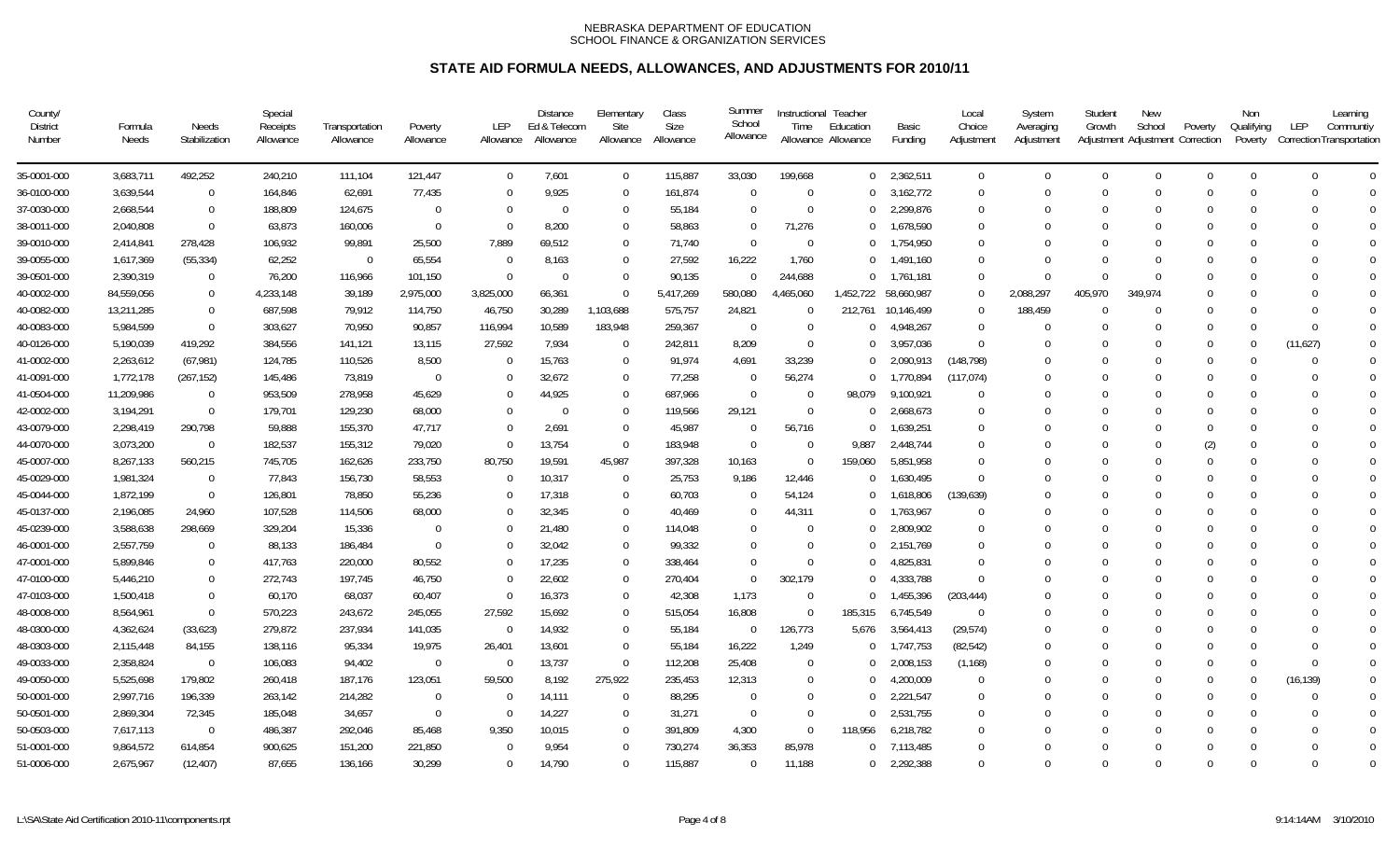| County/<br><b>District</b><br>Number | Formula<br>Needs | Needs<br>Stabilization | Special<br>Receipts<br>Allowance | Transportation<br>Allowance | Poverty<br>Allowance | <b>LEP</b><br>Allowance | <b>Distance</b><br>Ed & Telecom<br>Allowance | Elementary<br>Site<br>Allowance | Class<br><b>Size</b><br>Allowance | Summer<br>School<br>Allowance | Instructional Teacher<br>Time | Education<br>Allowance Allowance | Basic<br>Funding | Local<br>Choice<br>Adjustment | System<br>Averaging<br>Adjustment | Student<br>Growth | <b>New</b><br>School<br>Adjustment Adjustment Correction | Poverty  | Non<br>Qualifying<br>Poverty | Learning<br>LEP<br>Communtiy<br>Correction Transportation |
|--------------------------------------|------------------|------------------------|----------------------------------|-----------------------------|----------------------|-------------------------|----------------------------------------------|---------------------------------|-----------------------------------|-------------------------------|-------------------------------|----------------------------------|------------------|-------------------------------|-----------------------------------|-------------------|----------------------------------------------------------|----------|------------------------------|-----------------------------------------------------------|
| 35-0001-000                          | 3,683,711        | 492,252                | 240,210                          | 111,104                     | 121,447              | $\mathbf 0$             | 7,601                                        | $\overline{0}$                  | 115,887                           | 33,030                        | 199,668                       |                                  | $0$ 2,362,511    | $\Omega$                      | $\mathbf 0$                       | $\Omega$          | $\overline{0}$                                           | $\Omega$ | $\Omega$                     | $\Omega$<br>$\Omega$                                      |
| 36-0100-000                          | 3,639,544        | $\overline{0}$         | 164,846                          | 62,691                      | 77,435               | $\Omega$                | 9,925                                        | $\Omega$                        | 161,874                           | $\Omega$                      | $\overline{0}$                | $\Omega$                         | 3,162,772        | $\overline{0}$                | $\Omega$                          | $\Omega$          | $\Omega$                                                 | $\Omega$ | $\Omega$                     | $\Omega$<br>$\overline{0}$                                |
| 37-0030-000                          | 2,668,544        | $\overline{0}$         | 188,809                          | 124,675                     | $\Omega$             | $\Omega$                | $\Omega$                                     | $\Omega$                        | 55,184                            | $\Omega$                      | $\Omega$                      | $\Omega$                         | 2,299,876        | $\Omega$                      | 0                                 | $\Omega$          | $\Omega$                                                 | $\Omega$ | $\Omega$                     | $\Omega$<br>$\Omega$                                      |
| 38-0011-000                          | 2,040,808        | $\overline{0}$         | 63,873                           | 160,006                     | $\Omega$             | $\Omega$                | 8,200                                        | $\Omega$                        | 58,863                            | $\Omega$                      | 71,276                        | $\Omega$                         | 1,678,590        | $\Omega$                      | U                                 | $\Omega$          | $\Omega$                                                 | $\Omega$ | $\Omega$                     | $\Omega$<br><sup>0</sup>                                  |
| 39-0010-000                          | 2,414,841        | 278,428                | 106,932                          | 99,891                      | 25,500               | 7,889                   | 69.512                                       | $\Omega$                        | 71,740                            | $\Omega$                      | $\Omega$                      | $\Omega$                         | 1,754,950        | $\Omega$                      | 0                                 | $\Omega$          | $\Omega$                                                 | $\Omega$ | $\Omega$                     | $\Omega$<br>$\Omega$                                      |
| 39-0055-000                          | 1,617,369        | (55, 334)              | 62,252                           | $\Omega$                    | 65,554               | $\Omega$                | 8,163                                        | $\Omega$                        | 27,592                            | 16,222                        | 1,760                         | $\Omega$                         | 1,491,160        | -0                            | U                                 | $\Omega$          | 0                                                        | $\Omega$ | $\Omega$                     | $\Omega$<br>∩                                             |
| 39-0501-000                          | 2,390,319        | $\overline{0}$         | 76,200                           | 116,966                     | 101,150              | $\Omega$                | $\Omega$                                     | $\Omega$                        | 90,135                            | $\Omega$                      | 244,688                       | $\Omega$                         | 1,761,181        | $\Omega$                      | $\Omega$                          | $\Omega$          | $\Omega$                                                 | $\Omega$ | $\Omega$                     | $\Omega$                                                  |
| 40-0002-000                          | 84,559,056       | $\overline{0}$         | 4,233,148                        | 39,189                      | 2,975,000            | 3,825,000               | 66,361                                       | $\Omega$                        | 5,417,269                         | 580,080                       | 4,465,060                     | 1,452,722                        | 58,660,987       | $\Omega$                      | 2,088,297                         | 405,970           | 349.974                                                  | $\Omega$ | $\Omega$                     | ∩                                                         |
| 40-0082-000                          | 13,211,285       | $\overline{0}$         | 687,598                          | 79,912                      | 114,750              | 46,750                  | 30,289                                       | 1,103,688                       | 575,757                           | 24,821                        | $\overline{0}$                | 212,761                          | 10,146,499       | $\Omega$                      | 188,459                           | $\Omega$          | $\Omega$                                                 | $\Omega$ | $\Omega$                     | $\Omega$<br><sup>0</sup>                                  |
| 40-0083-000                          | 5,984,599        | $\Omega$               | 303,627                          | 70,950                      | 90,857               | 116,994                 | 10,589                                       | 183,948                         | 259,367                           | $\Omega$                      | $\Omega$                      | $^{\circ}$                       | 4,948,267        | $\Omega$                      | $\Omega$                          | $\Omega$          | $\Omega$                                                 | $\Omega$ | $\Omega$                     | $\Omega$<br>$\Omega$                                      |
| 40-0126-000                          | 5,190,039        | 419,292                | 384,556                          | 141,121                     | 13,115               | 27,592                  | 7,934                                        | $\overline{0}$                  | 242,811                           | 8,209                         | $\Omega$                      | $\Omega$                         | 3,957,036        | $\Omega$                      |                                   | $\Omega$          | 0                                                        | $\Omega$ | $\Omega$                     | (11, 627)<br>$\overline{0}$                               |
| 41-0002-000                          | 2,263,612        | (67, 981)              | 124,785                          | 110,526                     | 8,500                | 0                       | 15,763                                       | $\Omega$                        | 91,974                            | 4,691                         | 33,239                        | $\Omega$                         | 2,090,913        | (148, 798)                    | $\Omega$                          | $\Omega$          | $\Omega$                                                 | $\Omega$ | $\Omega$                     | $\Omega$<br>$\Omega$                                      |
| 41-0091-000                          | 1,772,178        | (267, 152)             | 145,486                          | 73,819                      | $\Omega$             | $\Omega$                | 32,672                                       | $\Omega$                        | 77,258                            | $\Omega$                      | 56,274                        | $\Omega$                         | 1,770,894        | (117, 074)                    | 0                                 | $\Omega$          | 0                                                        | $\Omega$ | $\Omega$                     | $\Omega$<br>$\Omega$                                      |
| 41-0504-000                          | 11,209,986       | $\overline{0}$         | 953,509                          | 278,958                     | 45,629               | $\Omega$                | 44,925                                       | $\Omega$                        | 687,966                           | $\Omega$                      | $\Omega$                      | 98,079                           | 9,100,921        | $\Omega$                      | U                                 | $\Omega$          | 0                                                        | $\Omega$ | $\Omega$                     | $\Omega$                                                  |
| 42-0002-000                          | 3,194,291        | $\overline{0}$         | 179,701                          | 129,230                     | 68,000               | $\Omega$                | $\Omega$                                     | $\Omega$                        | 119,566                           | 29,121                        | $\overline{0}$                | $\Omega$                         | 2,668,673        | $\Omega$                      | $\Omega$                          | $\Omega$          | $\Omega$                                                 | $\Omega$ | $\Omega$                     | $\Omega$<br>$\Omega$                                      |
| 43-0079-000                          | 2,298,419        | 290,798                | 59,888                           | 155,370                     | 47,717               | $\Omega$                | 2,691                                        | $\Omega$                        | 45,987                            | $\Omega$                      | 56,716                        | $\Omega$                         | 1,639,251        | -0                            | 0                                 | $\Omega$          | 0                                                        | $\Omega$ | $\Omega$                     | ∩                                                         |
| 44-0070-000                          | 3,073,200        | $\overline{0}$         | 182,537                          | 155,312                     | 79,020               | $\Omega$                | 13,754                                       | $\Omega$                        | 183,948                           | $\Omega$                      | $\Omega$                      | 9,887                            | 2,448,744        | $\Omega$                      |                                   | $\Omega$          | $\Omega$                                                 | (2)      | $\Omega$                     | $\Omega$                                                  |
| 45-0007-000                          | 8,267,133        | 560,215                | 745,705                          | 162,626                     | 233,750              | 80,750                  | 19,591                                       | 45,987                          | 397,328                           | 10,163                        | $\overline{0}$                | 159,060                          | 5,851,958        | $\Omega$                      |                                   | $\Omega$          | 0                                                        | $\Omega$ | $\Omega$                     | $\Omega$<br>$\Omega$                                      |
| 45-0029-000                          | 1,981,324        | $\overline{0}$         | 77,843                           | 156,730                     | 58,553               | $\Omega$                | 10,317                                       | $\Omega$                        | 25,753                            | 9,186                         | 12,446                        | $\Omega$                         | 1,630,495        | $\Omega$                      |                                   | $\Omega$          | 0                                                        | $\Omega$ | $\Omega$                     | $\Omega$<br>$\Omega$                                      |
| 45-0044-000                          | 1,872,199        | $\overline{0}$         | 126,801                          | 78,850                      | 55,236               | $\Omega$                | 17,318                                       | $\Omega$                        | 60,703                            | $\Omega$                      | 54,124                        | $\Omega$                         | 1,618,806        | (139, 639)                    |                                   | $\Omega$          | 0                                                        | $\Omega$ | $\Omega$                     | $\Omega$<br>$\Omega$                                      |
| 45-0137-000                          | 2,196,085        | 24,960                 | 107,528                          | 114,506                     | 68,000               | $\Omega$                | 32,345                                       | $\Omega$                        | 40,469                            | $\Omega$                      | 44,311                        | $\Omega$                         | 1,763,967        | $\Omega$                      | 0                                 |                   | 0                                                        | $\Omega$ | $\Omega$                     | $\Omega$                                                  |
| 45-0239-000                          | 3,588,638        | 298,669                | 329,204                          | 15,336                      | $\Omega$             | $\Omega$                | 21,480                                       | $\Omega$                        | 114,048                           | $\Omega$                      | $\Omega$                      | $\cup$                           | 2,809,902        | -0                            | 0                                 | $\Omega$          | $\Omega$                                                 | $\Omega$ | $\Omega$                     | $\Omega$<br>0                                             |
| 46-0001-000                          | 2,557,759        | $\overline{0}$         | 88,133                           | 186,484                     | $\Omega$             | $\Omega$                | 32,042                                       | $\Omega$                        | 99,332                            | $\Omega$                      | $\Omega$                      | $\Omega$                         | 2,151,769        | -0                            | 0                                 | $\Omega$          | 0                                                        | $\Omega$ | $\Omega$                     | $\Omega$                                                  |
| 47-0001-000                          | 5,899,846        | $\Omega$               | 417,763                          | 220,000                     | 80,552               | $\Omega$                | 17,235                                       | $\Omega$                        | 338,464                           | $\Omega$                      | $\Omega$                      | $\cup$                           | 4,825,831        | $\Omega$                      | 0                                 | $\Omega$          | $\Omega$                                                 | $\Omega$ | $\Omega$                     | ∩                                                         |
| 47-0100-000                          | 5,446,210        | $\Omega$               | 272,743                          | 197,745                     | 46,750               | $\Omega$                | 22,602                                       | $\Omega$                        | 270,404                           | $\Omega$                      | 302,179                       | $\Omega$                         | 4,333,788        | ∩                             | U                                 |                   | $\Omega$                                                 | $\Omega$ | $\Omega$                     |                                                           |
| 47-0103-000                          | 1,500,418        | $\overline{0}$         | 60,170                           | 68,037                      | 60,407               | $\Omega$                | 16,373                                       | $\Omega$                        | 42,308                            | 1,173                         | $\overline{0}$                | $\Omega$                         | 1,455,396        | (203, 444)                    | $^{0}$                            | $\Omega$          | 0                                                        | $\Omega$ | $\Omega$                     | $\Omega$<br><sup>0</sup>                                  |
| 48-0008-000                          | 8,564,961        | $\overline{0}$         | 570,223                          | 243,672                     | 245,055              | 27,592                  | 15,692                                       | $\Omega$                        | 515,054                           | 16,808                        | $\overline{0}$                | 185,315                          | 6,745,549        | $\Omega$                      |                                   |                   |                                                          |          | $\Omega$                     | $\Omega$                                                  |
| 48-0300-000                          | 4,362,624        | (33,623)               | 279,872                          | 237,934                     | 141,035              | $\Omega$                | 14,932                                       | $\Omega$                        | 55,184                            | $\overline{0}$                | 126,773                       | 5,676                            | 3,564,413        | (29, 574)                     | $\Omega$                          | $\Omega$          | $\Omega$                                                 | $\Omega$ | $\Omega$                     | $\Omega$<br>$\Omega$                                      |
| 48-0303-000                          | 2,115,448        | 84,155                 | 138,116                          | 95,334                      | 19,975               | 26,401                  | 13,601                                       | $\Omega$                        | 55,184                            | 16,222                        | 1,249                         | $\Omega$                         | 1,747,753        | (82, 542)                     | $\Omega$                          | $\Omega$          | $\Omega$                                                 | $\Omega$ | $\Omega$                     | $\overline{0}$<br>$\Omega$                                |
| 49-0033-000                          | 2,358,824        | $\overline{0}$         | 106,083                          | 94,402                      | $\Omega$             | $\Omega$                | 13,737                                       | $\Omega$                        | 112,208                           | 25,408                        | $\Omega$                      | $\cup$                           | 2,008,153        | (1, 168)                      | 0                                 | $\Omega$          | $\Omega$                                                 | $\Omega$ | $\Omega$                     | $\Omega$<br>$\Omega$                                      |
| 49-0050-000                          | 5,525,698        | 179,802                | 260,418                          | 187,176                     | 123,051              | 59,500                  | 8,192                                        | 275,922                         | 235,453                           | 12,313                        | $\Omega$                      | $\Omega$                         | 4,200,009        | 0                             | 0                                 | $\cap$            | 0                                                        | $\Omega$ | $\Omega$                     | (16, 139)<br>$\overline{0}$                               |
| 50-0001-000                          | 2,997,716        | 196,339                | 263,142                          | 214,282                     | $\Omega$             | $\Omega$                | 14,111                                       | $\Omega$                        | 88,295                            | $\Omega$                      | $\Omega$                      | $\Omega$                         | 2,221,547        | $\Omega$                      | $\Omega$                          | $\Omega$          | $\Omega$                                                 | $\Omega$ | $\Omega$                     | $\Omega$<br>$\Omega$                                      |
| 50-0501-000                          | 2,869,304        | 72,345                 | 185,048                          | 34,657                      | $\Omega$             | $\Omega$                | 14,227                                       | $\Omega$                        | 31,271                            | $\Omega$                      | $\Omega$                      | $\Omega$                         | 2,531,755        | -0                            | $\Omega$                          | $\Omega$          | $\Omega$                                                 | $\Omega$ | $\Omega$                     | ∩                                                         |
| 50-0503-000                          | 7,617,113        | $\overline{0}$         | 486,387                          | 292,046                     | 85,468               | 9,350                   | 10,015                                       | $\Omega$                        | 391,809                           | 4,300                         | $\overline{0}$                | 118,956                          | 6,218,782        | $\Omega$                      |                                   | $\Omega$          | $\Omega$                                                 | $\Omega$ | $\Omega$                     | $\Omega$                                                  |
| 51-0001-000                          | 9,864,572        | 614,854                | 900,625                          | 151,200                     | 221,850              | <sup>0</sup>            | 9,954                                        | $\Omega$                        | 730,274                           | 36,353                        | 85,978                        | $\cup$                           | 7,113,485        | $\Omega$                      |                                   | $\Omega$          | 0                                                        |          | $\Omega$                     | $\Omega$                                                  |
| 51-0006-000                          | 2,675,967        | (12, 407)              | 87,655                           | 136,166                     | 30,299               | $\Omega$                | 14,790                                       | $\Omega$                        | 115,887                           | $\Omega$                      | 11.188                        | $\Omega$                         | 2,292,388        | $\Omega$                      | $\Omega$                          | $\Omega$          | $\Omega$                                                 | $\Omega$ | $\Omega$                     | $\Omega$<br>$\Omega$                                      |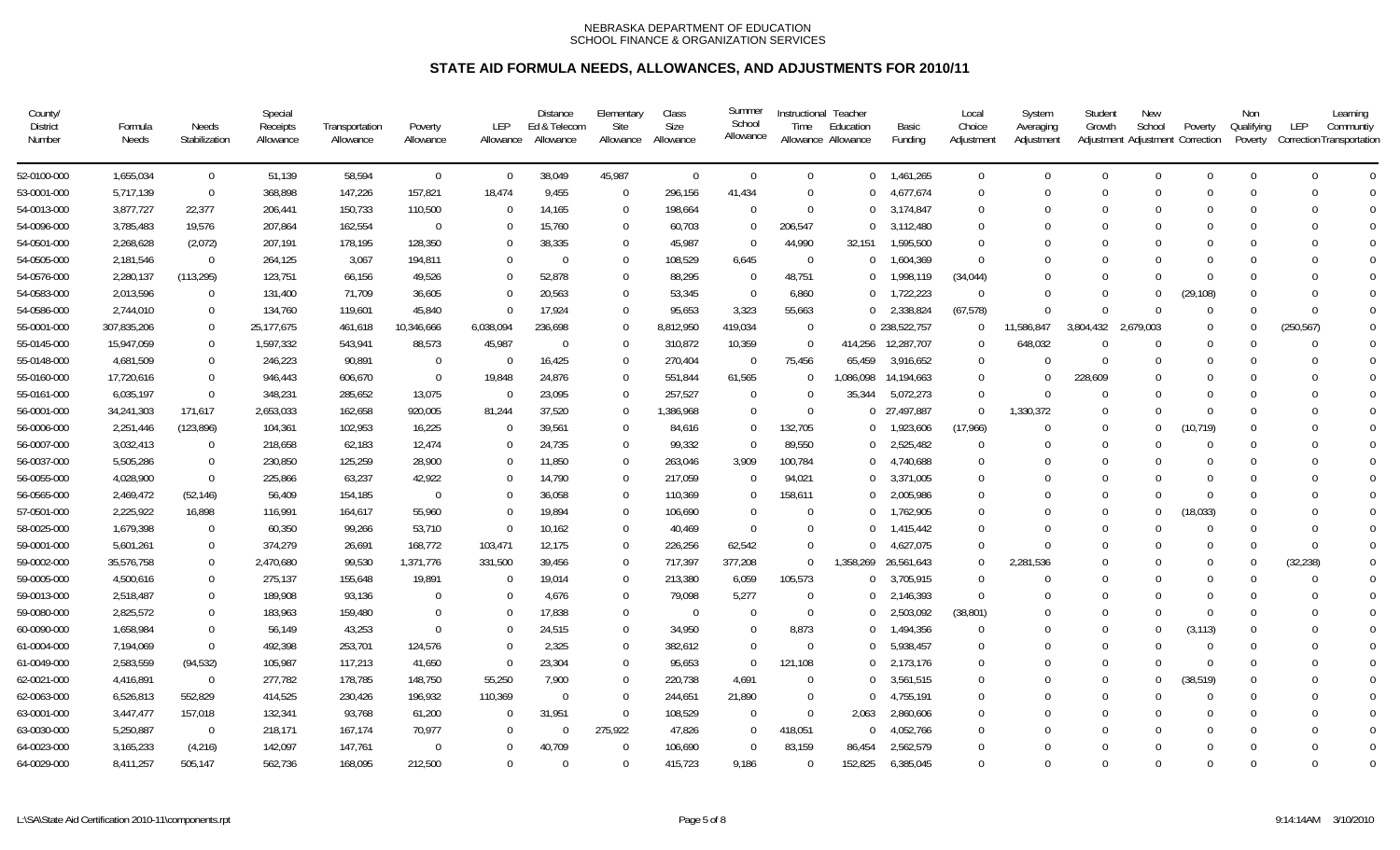| County/<br><b>District</b><br>Number | Formula<br>Needs | Needs<br>Stabilization | Special<br>Receipts<br>Allowance | Transportation<br>Allowance | Poverty<br>Allowance | <b>LEP</b><br>Allowance | <b>Distance</b><br>Ed & Telecom<br>Allowance | Elementary<br>Site<br>Allowance | Class<br><b>Size</b><br>Allowance | Summer<br>School<br>Allowance | Instructional Teacher<br>Time | Education<br>Allowance Allowance | Basic<br>Funding | Local<br>Choice<br>Adjustment | System<br>Averaging<br>Adjustment | Student<br>Growth | <b>New</b><br>School | Poverty<br>Adjustment Adjustment Correction | Non<br>Qualifying<br>Poverty | Learning<br>LEP<br>Communtiy<br>Correction Transportation |
|--------------------------------------|------------------|------------------------|----------------------------------|-----------------------------|----------------------|-------------------------|----------------------------------------------|---------------------------------|-----------------------------------|-------------------------------|-------------------------------|----------------------------------|------------------|-------------------------------|-----------------------------------|-------------------|----------------------|---------------------------------------------|------------------------------|-----------------------------------------------------------|
| 52-0100-000                          | 1,655,034        | $\overline{0}$         | 51,139                           | 58,594                      | $\Omega$             | $\mathbf 0$             | 38,049                                       | 45,987                          | $\overline{0}$                    | $\Omega$                      | $\Omega$                      | $\Omega$                         | 1,461,265        | $\Omega$                      | $\mathbf 0$                       | $\Omega$          | $\overline{0}$       | $\Omega$                                    | $\Omega$                     | $\Omega$<br>$\Omega$                                      |
| 53-0001-000                          | 5,717,139        | $\overline{0}$         | 368,898                          | 147,226                     | 157,821              | 18,474                  | 9,455                                        | $\mathbf 0$                     | 296,156                           | 41,434                        | $\mathbf 0$                   | $\cup$                           | 4,677,674        | $\overline{0}$                | $\Omega$                          | $\Omega$          | $\Omega$             | $\Omega$                                    | $\Omega$                     | $\Omega$<br>$\overline{0}$                                |
| 54-0013-000                          | 3,877,727        | 22,377                 | 206,441                          | 150,733                     | 110,500              | $\Omega$                | 14,165                                       | $\Omega$                        | 198,664                           | $\Omega$                      | $\Omega$                      | $\Omega$                         | 3,174,847        | $\Omega$                      | 0                                 | $\Omega$          | $\Omega$             | $\Omega$                                    | $\Omega$                     | $\Omega$<br>$\Omega$                                      |
| 54-0096-000                          | 3,785,483        | 19,576                 | 207,864                          | 162,554                     | $\Omega$             | $\Omega$                | 15,760                                       | $\Omega$                        | 60,703                            | $\Omega$                      | 206,547                       | $\cup$                           | 3,112,480        | $\Omega$                      | 0                                 | $\cup$            | $\Omega$             | $\Omega$                                    | $\Omega$                     | $\Omega$<br>0                                             |
| 54-0501-000                          | 2,268,628        | (2,072)                | 207,191                          | 178,195                     | 128,350              | $\Omega$                | 38,335                                       | $\Omega$                        | 45,987                            | $\Omega$                      | 44,990                        | 32,151                           | 1,595,500        | $\Omega$                      | 0                                 | $\Omega$          | $\Omega$             | $\Omega$                                    | $\Omega$                     | $\Omega$<br>$\Omega$                                      |
| 54-0505-000                          | 2,181,546        | $\overline{0}$         | 264,125                          | 3,067                       | 194,811              | $\Omega$                | $\Omega$                                     | $\Omega$                        | 108,529                           | 6,645                         | $\overline{0}$                | $\Omega$                         | 1,604,369        | $\Omega$                      | 0                                 | $\Omega$          | U                    | $\Omega$                                    | $\Omega$                     | $\Omega$<br>$\Omega$                                      |
| 54-0576-000                          | 2,280,137        | (113, 295)             | 123,751                          | 66,156                      | 49,526               | $\Omega$                | 52,878                                       | $\Omega$                        | 88,295                            | $\Omega$                      | 48,751                        | $\Omega$                         | 1,998,119        | (34, 044)                     | U                                 | $\Omega$          | U                    | $\Omega$                                    | $\Omega$                     | $\Omega$<br>$\Omega$                                      |
| 54-0583-000                          | 2,013,596        | $\overline{0}$         | 131,400                          | 71,709                      | 36,605               | $\Omega$                | 20,563                                       | $\Omega$                        | 53,345                            | $\Omega$                      | 6,860                         | $\Omega$                         | 1,722,223        | $\Omega$                      | $\Omega$                          | $\Omega$          | 0                    | (29,108)                                    | $\Omega$                     | $\Omega$<br>0                                             |
| 54-0586-000                          | 2,744,010        | $\overline{0}$         | 134,760                          | 119,601                     | 45,840               | $\Omega$                | 17,924                                       | $\Omega$                        | 95,653                            | 3,323                         | 55,663                        | $\Omega$                         | 2,338,824        | (67, 578)                     | $\Omega$                          | $\Omega$          | $\Omega$             | $\Omega$                                    | $\Omega$                     | $\Omega$<br>$\Omega$                                      |
| 55-0001-000                          | 307,835,206      | $\overline{0}$         | 25,177,675                       | 461,618                     | 10,346,666           | 6,038,094               | 236,698                                      | $\Omega$                        | 8,812,950                         | 419,034                       | $\overline{0}$                |                                  | 0 238,522,757    | $\Omega$                      | 11,586,847                        | 3,804,432         | 2,679,003            | $\Omega$                                    | $\Omega$                     | (250, 567)<br>$\Omega$                                    |
| 55-0145-000                          | 15,947,059       | $\overline{0}$         | 1,597,332                        | 543,941                     | 88,573               | 45,987                  | $\overline{0}$                               | $\Omega$                        | 310,872                           | 10,359                        | $\overline{0}$                | 414,256                          | 12,287,707       | $\Omega$                      | 648,032                           | $\Omega$          | $\Omega$             | $\Omega$                                    | $\Omega$                     | $\Omega$<br>$\Omega$                                      |
| 55-0148-000                          | 4,681,509        | $\Omega$               | 246,223                          | 90,891                      | $\Omega$             | $\Omega$                | 16,425                                       | $\Omega$                        | 270,404                           | $\Omega$                      | 75,456                        | 65,459                           | 3,916,652        | $\Omega$                      | $\Omega$                          | $\Omega$          | $\Omega$             | $\Omega$                                    | $\Omega$                     | $\Omega$<br>$\Omega$                                      |
| 55-0160-000                          | 17,720,616       | $\overline{0}$         | 946,443                          | 606,670                     | $\Omega$             | 19,848                  | 24,876                                       | $\Omega$                        | 551,844                           | 61,565                        | $\Omega$                      | 1,086,098                        | 14,194,663       | $\Omega$                      | $\Omega$                          | 228,609           | $\Omega$             | $\Omega$                                    | $\Omega$                     | $\Omega$<br>$\Omega$                                      |
| 55-0161-000                          | 6,035,197        | $\overline{0}$         | 348,231                          | 285,652                     | 13,075               | $\Omega$                | 23,095                                       | $\Omega$                        | 257,527                           | $\Omega$                      | $\Omega$                      | 35,344                           | 5,072,273        | $\Omega$                      | $\Omega$                          | $\Omega$          | $\Omega$             | $\Omega$                                    | $\Omega$                     | $\Omega$<br>O                                             |
| 56-0001-000                          | 34,241,303       | 171,617                | 2,653,033                        | 162,658                     | 920,005              | 81,244                  | 37,520                                       | $\Omega$                        | 1,386,968                         | $\Omega$                      | $\Omega$                      |                                  | 0 27,497,887     | $\Omega$                      | 1,330,372                         | $\Omega$          | $\Omega$             | $\Omega$                                    | $\Omega$                     | $\Omega$<br>$\Omega$                                      |
| 56-0006-000                          | 2,251,446        | (123, 896)             | 104,361                          | 102,953                     | 16,225               | $\Omega$                | 39,561                                       | $\Omega$                        | 84,616                            | $\Omega$                      | 132,705                       | $\Omega$                         | 1,923,606        | (17,966)                      | 0                                 | $\Omega$          | $\theta$             | (10, 719)                                   | $\Omega$                     | ∩                                                         |
| 56-0007-000                          | 3,032,413        | $\overline{0}$         | 218,658                          | 62,183                      | 12,474               | $\Omega$                | 24,735                                       | $\Omega$                        | 99,332                            | $\Omega$                      | 89,550                        | $\cup$                           | 2,525,482        | $\Omega$                      | $\Omega$                          | $\Omega$          | $\Omega$             | $\Omega$                                    | $\Omega$                     | $\Omega$<br>$\Omega$                                      |
| 56-0037-000                          | 5,505,286        | $\overline{0}$         | 230,850                          | 125,259                     | 28,900               | $\Omega$                | 11,850                                       | $\Omega$                        | 263,046                           | 3,909                         | 100,784                       | $\cup$                           | 4,740,688        | $\Omega$                      | 0                                 | $\Omega$          | $\Omega$             | $\Omega$                                    | $\Omega$                     | $\Omega$<br>∩                                             |
| 56-0055-000                          | 4,028,900        | $\overline{0}$         | 225,866                          | 63,237                      | 42,922               | $\Omega$                | 14,790                                       | $\Omega$                        | 217,059                           | $\Omega$                      | 94,021                        | $\Omega$                         | 3,371,005        | $\Omega$                      |                                   | $\Omega$          |                      | $\Omega$                                    | $\Omega$                     | $\Omega$                                                  |
| 56-0565-000                          | 2,469,472        | (52, 146)              | 56,409                           | 154,185                     | $\Omega$             | $\Omega$                | 36,058                                       | $\Omega$                        | 110,369                           | $\Omega$                      | 158,611                       | $\Omega$                         | 2,005,986        | $\Omega$                      | 0                                 | $\Omega$          | $\Omega$             | $\Omega$                                    | $\Omega$                     | $\Omega$<br>$\Omega$                                      |
| 57-0501-000                          | 2,225,922        | 16,898                 | 116,991                          | 164,617                     | 55,960               | $\Omega$                | 19,894                                       | $\Omega$                        | 106,690                           | $\Omega$                      | $\Omega$                      | $\cup$                           | 1,762,905        | $\Omega$                      | $\Omega$                          | $\Omega$          | $\Omega$             | (18, 033)                                   | $\Omega$                     | $\Omega$<br><sup>0</sup>                                  |
| 58-0025-000                          | 1,679,398        | $\overline{0}$         | 60,350                           | 99,266                      | 53,710               | $\Omega$                | 10,162                                       | $\Omega$                        | 40,469                            | $\Omega$                      | $\Omega$                      | $\Omega$                         | 1,415,442        | $\Omega$                      | 0                                 | $\Omega$          | $\Omega$             | $\Omega$                                    | $\Omega$                     | $\Omega$<br>$\Omega$                                      |
| 59-0001-000                          | 5,601,261        | $\Omega$               | 374,279                          | 26,691                      | 168,772              | 103,471                 | 12,175                                       | $\Omega$                        | 226,256                           | 62,542                        | $\Omega$                      |                                  | 4,627,075        | $\Omega$                      | $\Omega$                          | $\Omega$          | U                    | $\Omega$                                    | $\Omega$                     | $\Omega$<br>$\Omega$                                      |
| 59-0002-000                          | 35,576,758       | $\overline{0}$         | 2,470,680                        | 99,530                      | 1,371,776            | 331,500                 | 39,456                                       | $\Omega$                        | 717,397                           | 377,208                       | $\Omega$                      | 1,358,269                        | 26,561,643       | $\Omega$                      | 2,281,536                         | $\Omega$          | $\Omega$             | $\Omega$                                    | $\Omega$                     | (32, 238)<br>$\Omega$                                     |
| 59-0005-000                          | 4,500,616        | $\overline{0}$         | 275,137                          | 155,648                     | 19,891               | $\Omega$                | 19,014                                       | $\Omega$                        | 213,380                           | 6,059                         | 105,573                       | $\overline{0}$                   | 3,705,915        | $\Omega$                      | $\Omega$                          | $\Omega$          | $\Omega$             | $\Omega$                                    | $\Omega$                     | 0                                                         |
| 59-0013-000                          | 2,518,487        | $\overline{0}$         | 189,908                          | 93,136                      | $\Omega$             | $\Omega$                | 4,676                                        | $\Omega$                        | 79,098                            | 5,277                         | $\Omega$                      | $\Omega$                         | 2,146,393        | $\Omega$                      | 0                                 | $\Omega$          | 0                    | $\Omega$                                    | $\Omega$                     | $\Omega$<br>$\Omega$                                      |
| 59-0080-000                          | 2,825,572        | $\overline{0}$         | 183,963                          | 159,480                     | $\Omega$             | $\Omega$                | 17,838                                       | $\Omega$                        | $\overline{0}$                    | $\Omega$                      | $\Omega$                      | $\Omega$                         | 2,503,092        | (38, 801)                     | 0                                 | $\Omega$          | $\Omega$             | $\Omega$                                    | $\Omega$                     | $\Omega$<br>$\Omega$                                      |
| 60-0090-000                          | 1,658,984        | $\overline{0}$         | 56,149                           | 43,253                      | $\Omega$             | $\Omega$                | 24,515                                       | $\Omega$                        | 34,950                            | $\Omega$                      | 8.873                         | $\Omega$                         | 1,494,356        | $\Omega$                      | 0                                 | $\Omega$          | $\Omega$             | (3, 113)                                    | $\Omega$                     | $\Omega$<br>$\Omega$                                      |
| 61-0004-000                          | 7,194,069        | $\overline{0}$         | 492,398                          | 253,701                     | 124,576              | $\mathbf 0$             | 2,325                                        | $\Omega$                        | 382,612                           | $\Omega$                      | $\overline{0}$                | $\Omega$                         | 5,938,457        | $\Omega$                      | 0                                 | $\Omega$          | $\Omega$             | $\Omega$                                    | $\Omega$                     | $\Omega$<br><sup>0</sup>                                  |
| 61-0049-000                          | 2,583,559        | (94, 532)              | 105,987                          | 117,213                     | 41,650               | $\Omega$                | 23,304                                       | $\Omega$                        | 95,653                            | $\Omega$                      | 121,108                       | $\Omega$                         | 2,173,176        | -0                            | 0                                 | $\Omega$          |                      | $\Omega$                                    | $\Omega$                     | $\Omega$<br>$\Omega$                                      |
| 62-0021-000                          | 4,416,891        | $\overline{0}$         | 277,782                          | 178,785                     | 148,750              | 55,250                  | 7,900                                        | $\Omega$                        | 220,738                           | 4,691                         | $\Omega$                      | $\Omega$                         | 3,561,515        | -0                            | 0                                 | $\Omega$          | $\Omega$             | (38, 519)                                   | $\Omega$                     | $\Omega$<br>O                                             |
| 62-0063-000                          | 6,526,813        | 552,829                | 414,525                          | 230,426                     | 196,932              | 110,369                 | $\Omega$                                     | $\Omega$                        | 244,651                           | 21,890                        | $\Omega$                      | $\Omega$                         | 4,755,191        | $\Omega$                      | 0                                 | $\Omega$          | $\Omega$             | $\Omega$                                    | $\Omega$                     | $\Omega$                                                  |
| 63-0001-000                          | 3,447,477        | 157,018                | 132,341                          | 93,768                      | 61,200               | $\Omega$                | 31,951                                       | $\Omega$                        | 108,529                           | $\Omega$                      | $\Omega$                      | 2,063                            | 2,860,606        | $\Omega$                      | 0                                 | $\Omega$          | $\Omega$             | $\Omega$                                    | $\Omega$                     |                                                           |
| 63-0030-000                          | 5,250,887        | $\overline{0}$         | 218,171                          | 167,174                     | 70,977               | $\Omega$                | $\Omega$                                     | 275,922                         | 47,826                            | $\Omega$                      | 418,051                       | $\Omega$                         | 4,052,766        | -0                            | $\Omega$                          | $\Omega$          | $\Omega$             | $\Omega$                                    | $\Omega$                     | $\Omega$                                                  |
| 64-0023-000                          | 3,165,233        | (4,216)                | 142,097                          | 147,761                     |                      | $\Omega$                | 40,709                                       |                                 | 106,690                           | $\Omega$                      | 83,159                        | 86,454                           | 2,562,579        | $\Omega$                      |                                   |                   |                      |                                             | $\Omega$                     | $\Omega$                                                  |
| 64-0029-000                          | 8,411,257        | 505,147                | 562,736                          | 168,095                     | 212,500              | $\Omega$                | $\Omega$                                     | $\Omega$                        | 415,723                           | 9,186                         | $\Omega$                      | 152,825                          | 6,385,045        | $\Omega$                      | $\Omega$                          | $\Omega$          | $\Omega$             | $\Omega$                                    | $\Omega$                     | $\Omega$<br>$\Omega$                                      |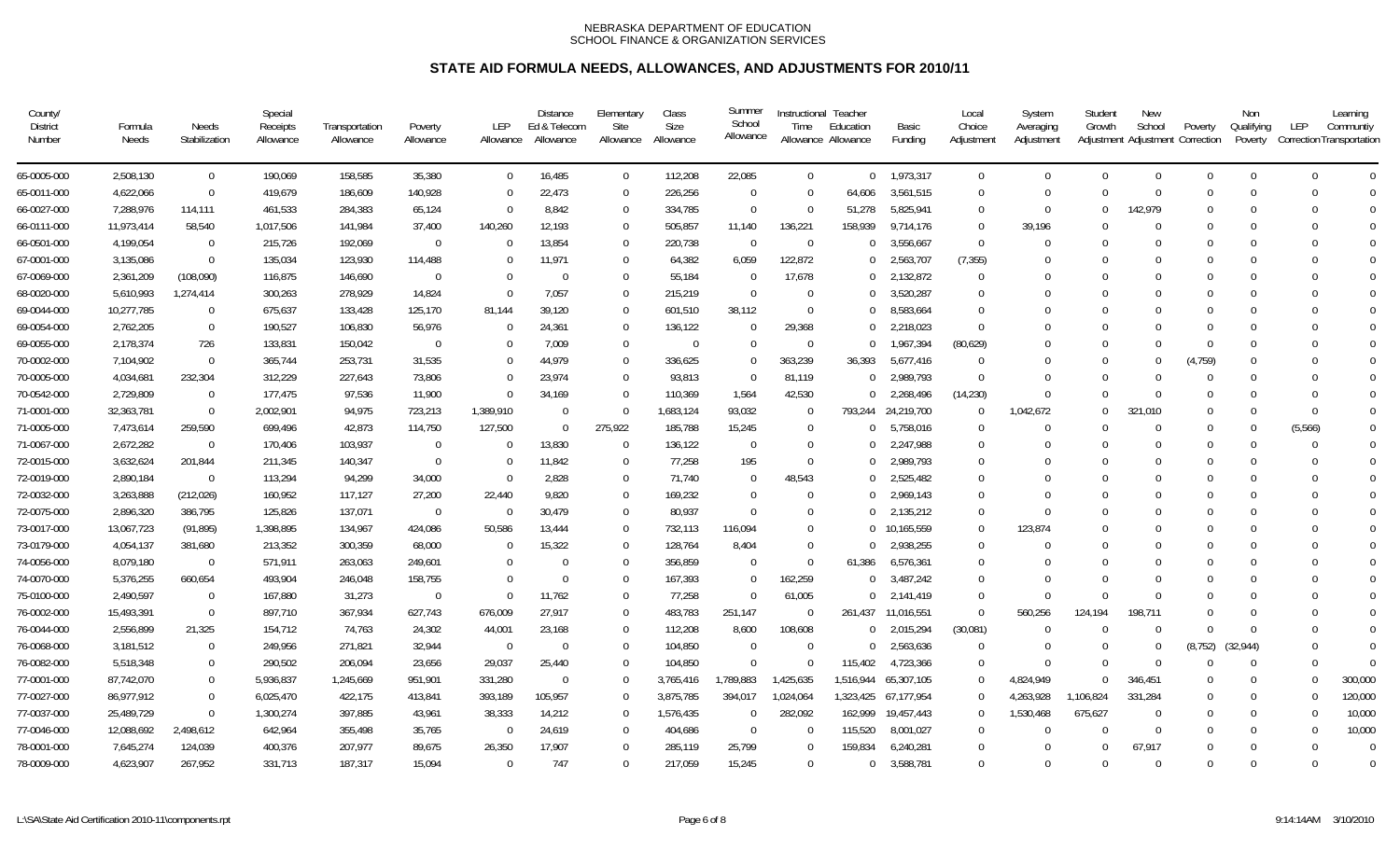| County/<br><b>District</b><br>Number | Formula<br>Needs | Needs<br>Stabilization | Special<br>Receipts<br>Allowance | Transportation<br>Allowance | Poverty<br>Allowance | <b>LEP</b><br>Allowance | <b>Distance</b><br>Ed & Telecom<br>Allowance | Elementary<br>Site<br>Allowance | Class<br><b>Size</b><br>Allowance | Summer<br>School<br>Allowance | Time           | Instructional Teacher<br>Education<br>Allowance Allowance | Basic<br>Funding   | Local<br>Choice<br>Adjustment | System<br>Averaging<br>Adjustment | Student<br>Growth | <b>New</b><br>School<br>Adjustment Adjustment Correction | Poverty  | Non<br>Qualifying<br>Poverty | LEP<br><b>Correction Transportation</b> | Learning<br>Communtiv |
|--------------------------------------|------------------|------------------------|----------------------------------|-----------------------------|----------------------|-------------------------|----------------------------------------------|---------------------------------|-----------------------------------|-------------------------------|----------------|-----------------------------------------------------------|--------------------|-------------------------------|-----------------------------------|-------------------|----------------------------------------------------------|----------|------------------------------|-----------------------------------------|-----------------------|
| 65-0005-000                          | 2,508,130        | $\mathbf 0$            | 190,069                          | 158,585                     | 35,380               | $\mathbf{0}$            | 16,485                                       | $\mathbf 0$                     | 112,208                           | 22,085                        | $\overline{0}$ |                                                           | $0$ 1,973,317      | $\overline{0}$                | $\overline{0}$                    | $\Omega$          | $\mathbf{0}$                                             | $\Omega$ | $\Omega$                     | $\Omega$                                | $\Omega$              |
| 65-0011-000                          | 4,622,066        | $\mathbf 0$            | 419,679                          | 186,609                     | 140,928              | $\Omega$                | 22,473                                       | $\Omega$                        | 226,256                           | $\Omega$                      | $\Omega$       | 64,606                                                    | 3,561,515          | $\Omega$                      | $\Omega$                          | $\Omega$          | $\Omega$                                                 | $\Omega$ | $\Omega$                     | $\Omega$                                | $\Omega$              |
| 66-0027-000                          | 7,288,976        | 114,111                | 461,533                          | 284,383                     | 65,124               | $\Omega$                | 8.842                                        | $\Omega$                        | 334,785                           | $\Omega$                      | $\Omega$       | 51.278                                                    | 5,825,941          | $\Omega$                      | $\Omega$                          | $\Omega$          | 142,979                                                  |          | $\Omega$                     | $\Omega$                                | $\Omega$              |
| 66-0111-000                          | 11,973,414       | 58,540                 | 1,017,506                        | 141,984                     | 37,400               | 140,260                 | 12,193                                       | $\Omega$                        | 505,857                           | 11,140                        | 136,221        | 158,939                                                   | 9,714,176          | $\Omega$                      | 39,196                            |                   | $\mathbf{0}$                                             |          | $\Omega$                     | $\Omega$                                | $\overline{0}$        |
| 66-0501-000                          | 4,199,054        | $\Omega$               | 215,726                          | 192,069                     | $\Omega$             | $\Omega$                | 13,854                                       | $\Omega$                        | 220,738                           | $\Omega$                      | $\overline{0}$ | $\cup$                                                    | 3,556,667          | $\overline{0}$                | $\Omega$                          |                   | $\Omega$                                                 |          | $\Omega$                     | $\Omega$                                | $\Omega$              |
| 67-0001-000                          | 3,135,086        | $\Omega$               | 135,034                          | 123,930                     | 114,488              | $\Omega$                | 11,971                                       | $\Omega$                        | 64,382                            | 6,059                         | 122,872        | $\Omega$                                                  | 2,563,707          | (7, 355)                      | 0                                 |                   | $\Omega$                                                 |          |                              | $\Omega$                                | $\Omega$              |
| 67-0069-000                          | 2,361,209        | (108,090)              | 116,875                          | 146,690                     | $\Omega$             | $\Omega$                | $\Omega$                                     | $\Omega$                        | 55,184                            | $\overline{0}$                | 17,678         |                                                           | $0$ 2,132,872      | $\Omega$                      | 0                                 |                   | $\Omega$                                                 |          | $\Omega$                     | $\Omega$                                | $\Omega$              |
| 68-0020-000                          | 5,610,993        | 1,274,414              | 300,263                          | 278,929                     | 14,824               | $\Omega$                | 7,057                                        | $\Omega$                        | 215,219                           | $\Omega$                      | -0             |                                                           | 3,520,287          | $\Omega$                      | 0                                 |                   | $\Omega$                                                 |          |                              |                                         | $\bigcap$             |
| 69-0044-000                          | 10,277,785       | - 0                    | 675,637                          | 133,428                     | 125,170              | 81,144                  | 39,120                                       | $\Omega$                        | 601,510                           | 38,112                        | $\Omega$       |                                                           | 8,583,664          | $\Omega$                      | $\Omega$                          |                   | $\Omega$                                                 |          | $\Omega$                     | $\Omega$                                | $\Omega$              |
| 69-0054-000                          | 2,762,205        | $\mathbf 0$            | 190,527                          | 106,830                     | 56,976               | $\Omega$                | 24,361                                       | $\Omega$                        | 136,122                           | $\Omega$                      | 29,368         |                                                           | 2,218,023          | $\Omega$                      | 0                                 |                   | $\Omega$                                                 |          | $\Omega$                     | $\Omega$                                | $\Omega$              |
| 69-0055-000                          | 2,178,374        | 726                    | 133,831                          | 150,042                     | $\Omega$             | $\Omega$                | 7.009                                        | $\Omega$                        | $\overline{0}$                    | $\Omega$                      | $\overline{0}$ | $\Omega$                                                  | 1,967,394          | (80, 629)                     |                                   |                   | $\theta$                                                 | $\Omega$ | $\Omega$                     | $\Omega$                                | $\Omega$              |
| 70-0002-000                          | 7,104,902        | $\overline{0}$         | 365,744                          | 253,731                     | 31,535               | $\mathbf 0$             | 44,979                                       | $\Omega$                        | 336,625                           | $\Omega$                      | 363,239        | 36,393                                                    | 5,677,416          | $\Omega$                      |                                   |                   | $\mathbf{0}$                                             | (4, 759) | $\mathbf{0}$                 | $\Omega$                                | $\mathbf{0}$          |
| 70-0005-000                          | 4,034,681        | 232,304                | 312,229                          | 227,643                     | 73,806               | $\Omega$                | 23,974                                       | $\Omega$                        | 93,813                            | $\overline{0}$                | 81,119         | $\Omega$                                                  | 2,989,793          | $\Omega$                      | $\Omega$                          |                   | $\theta$                                                 | $\Omega$ | $\Omega$                     | $\Omega$                                | $\overline{0}$        |
| 70-0542-000                          | 2,729,809        | $\Omega$               | 177,475                          | 97,536                      | 11,900               | $\Omega$                | 34,169                                       | $\Omega$                        | 110,369                           | 1,564                         | 42,530         |                                                           | $0$ 2,268,496      | (14, 230)                     | $\Omega$                          | $\Omega$          | $\Omega$                                                 |          | $\Omega$                     | $\Omega$                                | $\Omega$              |
| 71-0001-000                          | 32,363,781       | $\Omega$               | 2,002,901                        | 94,975                      | 723,213              | 1,389,910               | $\Omega$                                     | $\Omega$                        | 1,683,124                         | 93,032                        | $\Omega$       |                                                           | 793,244 24,219,700 | $\Omega$                      | 1,042,672                         | $\Omega$          | 321.010                                                  | $\Omega$ | $\Omega$                     | $\Omega$                                | $\Omega$              |
| 71-0005-000                          | 7,473,614        | 259,590                | 699,496                          | 42,873                      | 114,750              | 127,500                 | $\Omega$                                     | 275,922                         | 185,788                           | 15,245                        | $\overline{0}$ |                                                           | 5,758,016          | $\Omega$                      | $\Omega$                          | $\Omega$          | $\Omega$                                                 | $\Omega$ | $\Omega$                     | (5,566)                                 | $\Omega$              |
| 71-0067-000                          | 2,672,282        | $\Omega$               | 170,406                          | 103,937                     | $\Omega$             | $\Omega$                | 13,830                                       | $\Omega$                        | 136,122                           | $\Omega$                      | $\Omega$       |                                                           | 2,247,988          | $\Omega$                      | $\Omega$                          | $\Omega$          | $\Omega$                                                 |          | $\Omega$                     | $\Omega$                                | $\Omega$              |
| 72-0015-000                          | 3,632,624        | 201,844                | 211,345                          | 140,347                     | $\Omega$             | $\Omega$                | 11,842                                       | $\Omega$                        | 77,258                            | 195                           | $\theta$       |                                                           | 2,989,793          | $\Omega$                      | 0                                 |                   | $\Omega$                                                 |          | $\Omega$                     | $\Omega$                                | $\Omega$              |
| 72-0019-000                          | 2,890,184        | $\Omega$               | 113,294                          | 94,299                      | 34,000               | $\Omega$                | 2.828                                        | $\Omega$                        | 71.740                            | $\Omega$                      | 48.543         | $\Omega$                                                  | 2,525,482          | $\Omega$                      |                                   |                   | $\theta$                                                 |          | $\Omega$                     | $\Omega$                                | $\Omega$              |
| 72-0032-000                          | 3,263,888        | (212, 026)             | 160,952                          | 117,127                     | 27,200               | 22,440                  | 9,820                                        | $\Omega$                        | 169,232                           | $\Omega$                      | $\overline{0}$ |                                                           | 2,969,143          | $\Omega$                      | $\Omega$                          |                   | 0                                                        |          | $\Omega$                     | $\Omega$                                | $\Omega$              |
| 72-0075-000                          | 2,896,320        | 386,795                | 125,826                          | 137,071                     | $\Omega$             | $\Omega$                | 30,479                                       | $\Omega$                        | 80,937                            | $\Omega$                      | $\Omega$       |                                                           | 2,135,212          | $\Omega$                      | $\Omega$                          |                   | $\Omega$                                                 |          | $\Omega$                     | $\Omega$                                | $\Omega$              |
| 73-0017-000                          | 13,067,723       | (91, 895)              | 1,398,895                        | 134,967                     | 424,086              | 50,586                  | 13,444                                       | $\Omega$                        | 732,113                           | 116,094                       | $\Omega$       |                                                           | 0 10,165,559       | $\Omega$                      | 123,874                           |                   | $\Omega$                                                 |          |                              | $\Omega$                                | $\Omega$              |
| 73-0179-000                          | 4,054,137        | 381,680                | 213,352                          | 300,359                     | 68,000               | $\Omega$                | 15,322                                       | $\Omega$                        | 128,764                           | 8,404                         | $\Omega$       |                                                           | 2,938,255          | $\Omega$                      | $\Omega$                          |                   | $\Omega$                                                 |          | $\Omega$                     | $\Omega$                                | $\bigcap$             |
| 74-0056-000                          | 8,079,180        | $\overline{0}$         | 571,911                          | 263,063                     | 249,601              | $\Omega$                | $\Omega$                                     | $\Omega$                        | 356,859                           | 0                             | $\overline{0}$ | 61,386                                                    | 6,576,361          | $\Omega$                      | $\Omega$                          |                   | $\Omega$                                                 |          | $\Omega$                     | $\Omega$                                | $\Omega$              |
| 74-0070-000                          | 5,376,255        | 660,654                | 493,904                          | 246,048                     | 158,755              | $\Omega$                | $\Omega$                                     | $\Omega$                        | 167,393                           | $\Omega$                      | 162,259        | $\Omega$                                                  | 3,487,242          | $\Omega$                      | $\Omega$                          | $\Omega$          | $\Omega$                                                 |          | $\Omega$                     |                                         | $\Omega$              |
| 75-0100-000                          | 2,490,597        | $\mathbf 0$            | 167,880                          | 31,273                      | $\overline{0}$       | $\Omega$                | 11,762                                       | $\Omega$                        | 77,258                            | $\Omega$                      | 61,005         |                                                           | $0$ 2,141,419      | $\Omega$                      | $\Omega$                          | $\Omega$          | $\theta$                                                 |          | $\Omega$                     |                                         | $\Omega$              |
| 76-0002-000                          | 15,493,391       | $\Omega$               | 897,710                          | 367,934                     | 627,743              | 676,009                 | 27,917                                       | $\Omega$                        | 483,783                           | 251,147                       | $\overline{0}$ | 261.437                                                   | 11,016,551         | $\overline{0}$                | 560,256                           | 124.194           | 198.711                                                  |          | $\Omega$                     | $\Omega$                                | $\Omega$              |
| 76-0044-000                          | 2,556,899        | 21,325                 | 154,712                          | 74,763                      | 24,302               | 44,001                  | 23,168                                       | $\Omega$                        | 112,208                           | 8,600                         | 108,608        | $\Omega$                                                  | 2,015,294          | (30,081)                      | $\overline{0}$                    | $\Omega$          | $\mathbf 0$                                              |          | $\Omega$                     | $\Omega$                                | $\overline{0}$        |
| 76-0068-000                          | 3,181,512        | $\mathbf 0$            | 249,956                          | 271,821                     | 32,944               | $\Omega$                | $\Omega$                                     | $\Omega$                        | 104,850                           | $\Omega$                      | $\Omega$       | $\cup$                                                    | 2,563,636          | $\overline{0}$                | $\Omega$                          | $\Omega$          | $\Omega$                                                 | (8, 752) | (32, 944)                    | $\Omega$                                | $\Omega$              |
| 76-0082-000                          | 5,518,348        | $\Omega$               | 290,502                          | 206,094                     | 23,656               | 29,037                  | 25,440                                       | $\Omega$                        | 104,850                           | $\Omega$                      | $\Omega$       | 115,402                                                   | 4,723,366          | $\Omega$                      | $\Omega$                          | $\Omega$          | $\Omega$                                                 |          | $\Omega$                     | $\Omega$                                | $\Omega$              |
| 77-0001-000                          | 87,742,070       | $\Omega$               | 5,936,837                        | 1,245,669                   | 951,901              | 331,280                 | $\Omega$                                     | $\Omega$                        | 3,765,416                         | 1,789,883                     | 1,425,635      | 1,516,944                                                 | 65,307,105         | $\Omega$                      | 4,824,949                         | $\Omega$          | 346,451                                                  |          | $\Omega$                     | $\Omega$                                | 300,000               |
| 77-0027-000                          | 86,977,912       | $\overline{0}$         | 6,025,470                        | 422,175                     | 413,841              | 393,189                 | 105,957                                      | $\Omega$                        | 3,875,785                         | 394,017                       | 1,024,064      | 1,323,425                                                 | 67,177,954         | $\Omega$                      | 4,263,928                         | 1,106,824         | 331,284                                                  |          | $\Omega$                     | $\Omega$                                | 120,000               |
| 77-0037-000                          | 25,489,729       | $\Omega$               | 1,300,274                        | 397,885                     | 43,961               | 38,333                  | 14,212                                       | $\Omega$                        | 1,576,435                         | $\Omega$                      | 282,092        | 162,999                                                   | 19,457,443         | $\Omega$                      | 1,530,468                         | 675,627           | $\Omega$                                                 | - 0      | $\Omega$                     | $\Omega$                                | 10,000                |
| 77-0046-000                          | 12,088,692       | 2,498,612              | 642,964                          | 355,498                     | 35,765               | $\overline{0}$          | 24,619                                       | $\Omega$                        | 404,686                           | $\Omega$                      | $\overline{0}$ | 115,520                                                   | 8,001,027          | $\Omega$                      | $\Omega$                          | $\Omega$          | $\mathbf{0}$                                             |          | $\Omega$                     | $\Omega$                                | 10,000                |
| 78-0001-000                          | 7,645,274        | 124,039                | 400,376                          | 207,977                     | 89,675               | 26,350                  | 17,907                                       | $\Omega$                        | 285.119                           | 25,799                        | $\Omega$       | 159.834                                                   | 6,240,281          | $\Omega$                      | $\Omega$                          | $\Omega$          | 67.917                                                   |          | $\Omega$                     | $\Omega$                                | $\Omega$              |
| 78-0009-000                          | 4,623,907        | 267,952                | 331,713                          | 187,317                     | 15,094               | $\Omega$                | 747                                          | $\Omega$                        | 217,059                           | 15,245                        | $\Omega$       | $\Omega$                                                  | 3,588,781          | $\cup$                        | $\theta$                          | $\cap$            | $\Omega$                                                 |          | $\Omega$                     | $\Omega$                                | - 0                   |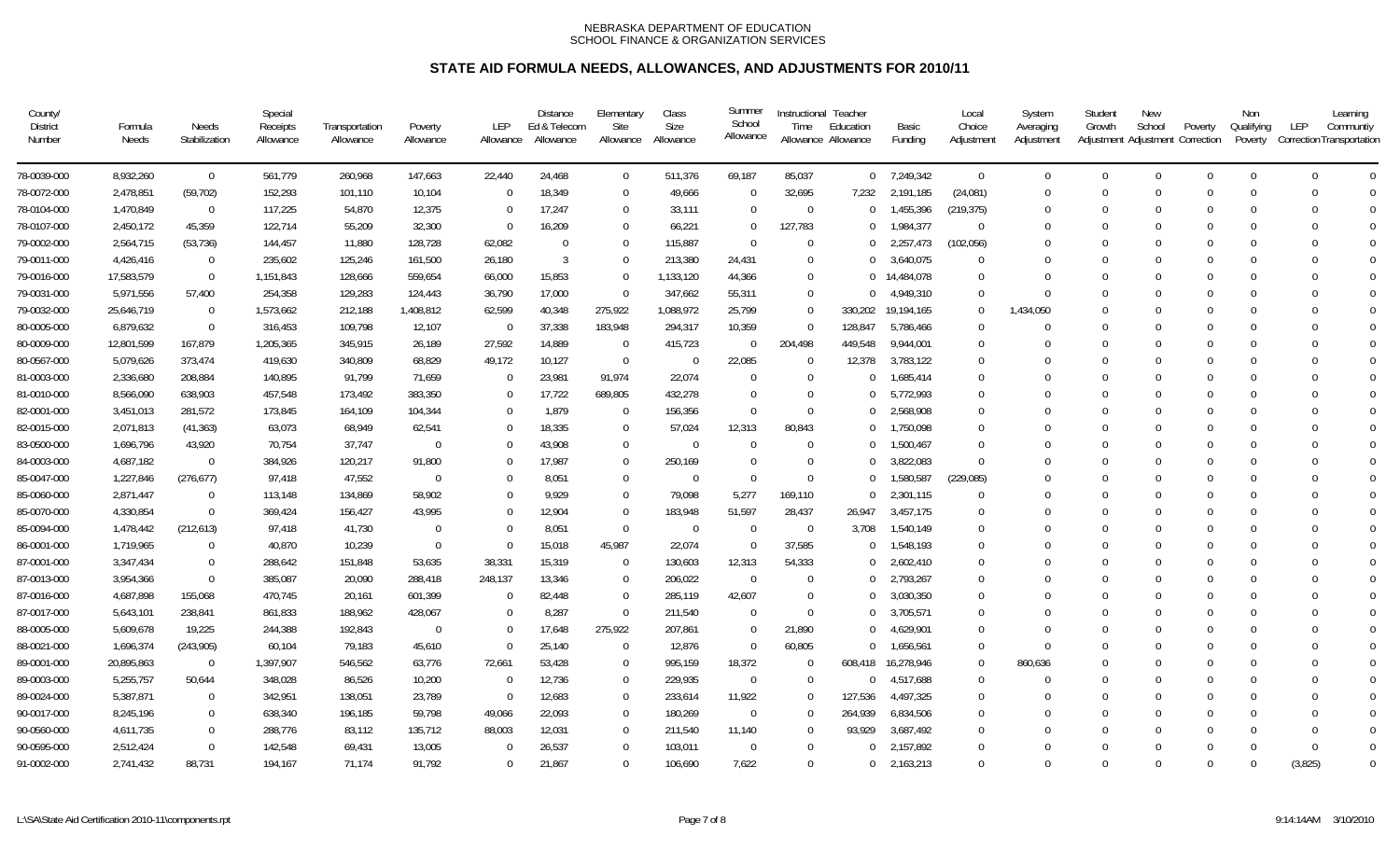| County/<br><b>District</b><br>Number | Formula<br>Needs | Needs<br>Stabilization | Special<br>Receipts<br>Allowance | Transportation<br>Allowance | Poverty<br>Allowance | LEP<br>Allowance | Distance<br>Ed & Telecom<br>Allowance | Elementary<br>Site<br>Allowance | Class<br>Size<br>Allowance | Summer<br>School<br>Allowance | Instructional Teacher<br>Time | Education<br>Allowance Allowance | Basic<br>Funding | Local<br>Choice<br>Adjustment | System<br>Averaging<br>Adjustment | Student<br>Growth | New<br>School<br>Adjustment Adjustment Correction | Poverty  | Non<br>Qualifying<br>Poverty | Learning<br>LEP<br>Communtiy<br>Correction Transportation |
|--------------------------------------|------------------|------------------------|----------------------------------|-----------------------------|----------------------|------------------|---------------------------------------|---------------------------------|----------------------------|-------------------------------|-------------------------------|----------------------------------|------------------|-------------------------------|-----------------------------------|-------------------|---------------------------------------------------|----------|------------------------------|-----------------------------------------------------------|
| 78-0039-000                          | 8,932,260        | $\overline{0}$         | 561,779                          | 260,968                     | 147,663              | 22,440           | 24,468                                | $\mathbf 0$                     | 511,376                    | 69,187                        | 85,037                        |                                  | $0$ 7,249,342    | $\overline{0}$                | $\mathbf 0$                       | $\Omega$          | $\mathbf 0$                                       | $\Omega$ | $\Omega$                     | $\Omega$<br>$\Omega$                                      |
| 78-0072-000                          | 2,478,851        | (59, 702)              | 152,293                          | 101,110                     | 10,104               | $\Omega$         | 18,349                                | $\mathbf 0$                     | 49,666                     | $\Omega$                      | 32,695                        | 7,232                            | 2,191,185        | (24,081)                      | $\Omega$                          | $\Omega$          | $\Omega$                                          |          | $\Omega$                     | $\Omega$<br>$\Omega$                                      |
| 78-0104-000                          | 1,470,849        | $\overline{0}$         | 117,225                          | 54,870                      | 12,375               | $\Omega$         | 17,247                                | $\Omega$                        | 33,111                     | $\Omega$                      | $\overline{0}$                | $\Omega$                         | 1,455,396        | (219, 375)                    |                                   |                   | $\theta$                                          |          | $\Omega$                     | $\Omega$<br>$\Omega$                                      |
| 78-0107-000                          | 2,450,172        | 45,359                 | 122,714                          | 55,209                      | 32,300               | $\Omega$         | 16,209                                | $\Omega$                        | 66,221                     | $\Omega$                      | 127,783                       | $\Omega$                         | 1,984,377        | $\Omega$                      | $\Omega$                          |                   | $\Omega$                                          |          | $\Omega$                     | $\Omega$<br>$\Omega$                                      |
| 79-0002-000                          | 2,564,715        | (53, 736)              | 144,457                          | 11,880                      | 128,728              | 62,082           | $\Omega$                              | $\Omega$                        | 115,887                    | $\Omega$                      | $\Omega$                      | $\Omega$                         | 2,257,473        | (102, 056)                    |                                   |                   | $\Omega$                                          |          | $\Omega$                     | $\Omega$<br>$\Omega$                                      |
| 79-0011-000                          | 4,426,416        | $\overline{0}$         | 235,602                          | 125,246                     | 161,500              | 26,180           | 3                                     | $\Omega$                        | 213,380                    | 24,431                        | $\Omega$                      | $\Omega$                         | 3,640,075        | $\Omega$                      |                                   |                   | $\Omega$                                          |          |                              | $\Omega$                                                  |
| 79-0016-000                          | 17,583,579       | $\overline{0}$         | 1,151,843                        | 128,666                     | 559,654              | 66,000           | 15,853                                | $\Omega$                        | 1,133,120                  | 44,366                        | $\theta$                      |                                  | 0 14,484,078     | $\Omega$                      |                                   |                   | $\Omega$                                          |          | $\Omega$                     | $\Omega$<br>$\Omega$                                      |
| 79-0031-000                          | 5,971,556        | 57,400                 | 254,358                          | 129,283                     | 124,443              | 36,790           | 17,000                                | $\Omega$                        | 347,662                    | 55,311                        | $\theta$                      | $\Omega$                         | 4,949,310        | $\Omega$                      | $\Omega$                          |                   | $\Omega$                                          |          | $\Omega$                     | $\Omega$<br>$\bigcap$                                     |
| 79-0032-000                          | 25,646,719       | $\overline{0}$         | 1,573,662                        | 212,188                     | 1,408,812            | 62,599           | 40,348                                | 275,922                         | 1,088,972                  | 25,799                        | $\Omega$                      | 330,202                          | 19,194,165       | $\Omega$                      | 1,434,050                         |                   | $\Omega$                                          |          | $\Omega$                     | $\bigcap$<br>$\Omega$                                     |
| 80-0005-000                          | 6,879,632        | $\overline{0}$         | 316,453                          | 109,798                     | 12,107               | $\Omega$         | 37,338                                | 183,948                         | 294,317                    | 10,359                        | $\Omega$                      | 128,847                          | 5,786,466        | $\Omega$                      | $\Omega$                          |                   | $\Omega$                                          |          | $\Omega$                     | $\bigcap$                                                 |
| 80-0009-000                          | 12,801,599       | 167,879                | 1,205,365                        | 345,915                     | 26,189               | 27,592           | 14,889                                | $\overline{0}$                  | 415,723                    | $\overline{0}$                | 204,498                       | 449,548                          | 9,944,001        | $\Omega$                      |                                   |                   | $\Omega$                                          |          | $\Omega$                     | $\Omega$<br>$\Omega$                                      |
| 80-0567-000                          | 5,079,626        | 373,474                | 419,630                          | 340,809                     | 68,829               | 49,172           | 10,127                                | $\Omega$                        | $\overline{0}$             | 22,085                        | $\Omega$                      | 12,378                           | 3,783,122        | $\Omega$                      | $\Omega$                          |                   | $\Omega$                                          |          | $\Omega$                     | $\Omega$<br>$\Omega$                                      |
| 81-0003-000                          | 2,336,680        | 208,884                | 140,895                          | 91,799                      | 71,659               | $\Omega$         | 23,981                                | 91,974                          | 22,074                     | $\Omega$                      | $\Omega$                      |                                  | 1,685,414        | $\Omega$                      | $\Omega$                          |                   | $\Omega$                                          |          | $\Omega$                     | $\Omega$<br>$\Omega$                                      |
| 81-0010-000                          | 8,566,090        | 638,903                | 457,548                          | 173,492                     | 383,350              | $\Omega$         | 17,722                                | 689,805                         | 432.278                    | $\Omega$                      | $\Omega$                      |                                  | 5,772,993        | $\Omega$                      | $\Omega$                          |                   | $\Omega$                                          |          | $\Omega$                     | $\Omega$<br>$\Omega$                                      |
| 82-0001-000                          | 3,451,013        | 281,572                | 173,845                          | 164,109                     | 104,344              | $\Omega$         | 1,879                                 | $\Omega$                        | 156,356                    | $\Omega$                      | $\Omega$                      |                                  | 2,568,908        | $\Omega$                      |                                   |                   | $\Omega$                                          |          | $\Omega$                     | $\Omega$<br>$\cap$                                        |
| 82-0015-000                          | 2,071,813        | (41, 363)              | 63,073                           | 68,949                      | 62,541               | $\Omega$         | 18,335                                | $\Omega$                        | 57,024                     | 12,313                        | 80,843                        | $\Omega$                         | 1,750,098        | $\Omega$                      | 0                                 | $\cap$            | $\Omega$                                          |          | $\Omega$                     | $\Omega$<br>$\bigcap$                                     |
| 83-0500-000                          | 1,696,796        | 43,920                 | 70,754                           | 37,747                      | $\Omega$             | $\Omega$         | 43,908                                | $\Omega$                        | $\overline{0}$             | $\Omega$                      | $\Omega$                      |                                  | 1,500,467        | $\Omega$                      | 0                                 |                   | $\Omega$                                          |          | $\Omega$                     |                                                           |
| 84-0003-000                          | 4,687,182        | $\overline{0}$         | 384,926                          | 120,217                     | 91,800               | $\Omega$         | 17,987                                | $\Omega$                        | 250,169                    | $\Omega$                      | $\Omega$                      |                                  | 3,822,083        | $\Omega$                      |                                   |                   | $\Omega$                                          |          | $\Omega$                     | $\bigcap$                                                 |
| 85-0047-000                          | 1,227,846        | (276, 677)             | 97,418                           | 47,552                      | $\Omega$             | $\Omega$         | 8,051                                 | $\Omega$                        | $\Omega$                   | $\Omega$                      | $\theta$                      | $\cup$                           | 1,580,587        | (229, 085)                    |                                   |                   | $\Omega$                                          |          | $\Omega$                     | $\bigcap$<br>$\Omega$                                     |
| 85-0060-000                          | 2,871,447        | $\overline{0}$         | 113,148                          | 134,869                     | 58,902               | $\Omega$         | 9,929                                 | $\Omega$                        | 79,098                     | 5,277                         | 169,110                       | $\Omega$                         | 2,301,115        | $\Omega$                      | $\Omega$                          | $\Omega$          | $\Omega$                                          |          | $\Omega$                     | $\Omega$<br>$\Omega$                                      |
| 85-0070-000                          | 4,330,854        | $\overline{0}$         | 369,424                          | 156,427                     | 43,995               | $\Omega$         | 12,904                                | $\Omega$                        | 183,948                    | 51,597                        | 28,437                        | 26,947                           | 3,457,175        | $\Omega$                      | 0                                 |                   | $\Omega$                                          |          | $\Omega$                     | $\Omega$<br>$\Omega$                                      |
| 85-0094-000                          | 1,478,442        | (212, 613)             | 97,418                           | 41,730                      | $\Omega$             | $\Omega$         | 8,051                                 | $\Omega$                        | $\overline{0}$             | $\Omega$                      | $\Omega$                      | 3,708                            | 1,540,149        | $\Omega$                      |                                   |                   | $\theta$                                          |          | $\Omega$                     | $\Omega$<br>$\Omega$                                      |
| 86-0001-000                          | 1,719,965        | $\overline{0}$         | 40,870                           | 10,239                      | $\Omega$             | $\Omega$         | 15,018                                | 45,987                          | 22,074                     | $\Omega$                      | 37,585                        | $\Omega$                         | 1,548,193        | $\Omega$                      |                                   |                   | $\Omega$                                          |          | $\Omega$                     | $\Omega$<br>$\Omega$                                      |
| 87-0001-000                          | 3,347,434        | $\overline{0}$         | 288,642                          | 151,848                     | 53,635               | 38,331           | 15,319                                | $\Omega$                        | 130,603                    | 12,313                        | 54,333                        | $\Omega$                         | 2,602,410        | $\Omega$                      |                                   |                   | $\Omega$                                          |          | $\Omega$                     | $\bigcap$<br>$\Omega$                                     |
| 87-0013-000                          | 3,954,366        | $\overline{0}$         | 385,087                          | 20,090                      | 288,418              | 248,137          | 13,346                                | 0                               | 206,022                    | $\overline{0}$                | 0                             |                                  | 2,793,267        | $\Omega$                      | 0                                 |                   | 0                                                 |          | $\Omega$                     | $\Omega$<br>$\cap$                                        |
| 87-0016-000                          | 4,687,898        | 155,068                | 470,745                          | 20,161                      | 601,399              | $\mathbf 0$      | 82,448                                | $\Omega$                        | 285,119                    | 42,607                        | $\Omega$                      |                                  | 3,030,350        | $\Omega$                      |                                   |                   | $\Omega$                                          |          | $\Omega$                     | $\bigcap$                                                 |
| 87-0017-000                          | 5,643,101        | 238,841                | 861,833                          | 188,962                     | 428,067              | $\Omega$         | 8,287                                 | $\Omega$                        | 211,540                    | $\overline{0}$                | $\theta$                      | $^{\circ}$                       | 3,705,571        | $\Omega$                      |                                   |                   | $\Omega$                                          |          | $\Omega$                     | $\Omega$<br>$\Omega$                                      |
| 88-0005-000                          | 5,609,678        | 19,225                 | 244,388                          | 192,843                     | $\Omega$             | $\Omega$         | 17,648                                | 275,922                         | 207,861                    | $\overline{0}$                | 21,890                        | $\Omega$                         | 4,629,901        | $\Omega$                      | $\Omega$                          |                   | $\Omega$                                          |          | $\Omega$                     | $\Omega$<br>$\Omega$                                      |
| 88-0021-000                          | 1,696,374        | (243,905)              | 60,104                           | 79,183                      | 45,610               | $\Omega$         | 25,140                                | $\Omega$                        | 12,876                     | $\Omega$                      | 60,805                        | $\Omega$                         | 1,656,561        | $\Omega$                      | $\Omega$                          |                   | $\Omega$                                          |          | $\Omega$                     | $\Omega$<br>$\Omega$                                      |
| 89-0001-000                          | 20,895,863       | $\overline{0}$         | 1,397,907                        | 546,562                     | 63,776               | 72,661           | 53,428                                | $\Omega$                        | 995,159                    | 18,372                        | $\Omega$                      | 608,418                          | 16,278,946       | $\Omega$                      | 860,636                           |                   | $\Omega$                                          |          | $\Omega$                     | $\overline{0}$<br>$\Omega$                                |
| 89-0003-000                          | 5,255,757        | 50,644                 | 348,028                          | 86,526                      | 10,200               | $\mathbf 0$      | 12,736                                | $\Omega$                        | 229,935                    | $\Omega$                      | $\Omega$                      | $\Omega$                         | 4,517,688        | $\Omega$                      | $\Omega$                          |                   | $\Omega$                                          |          | $\Omega$                     | $\Omega$                                                  |
| 89-0024-000                          | 5,387,871        | $\overline{0}$         | 342,951                          | 138,051                     | 23,789               | $\Omega$         | 12,683                                | $\Omega$                        | 233,614                    | 11,922                        | $\Omega$                      | 127,536                          | 4,497,325        | $\Omega$                      |                                   |                   | $\Omega$                                          |          | $\Omega$                     | $\bigcap$<br>$\Omega$                                     |
| 90-0017-000                          | 8,245,196        | $\overline{0}$         | 638,340                          | 196,185                     | 59,798               | 49,066           | 22,093                                | $\Omega$                        | 180,269                    | $\Omega$                      | $\Omega$                      | 264,939                          | 6,834,506        | $\Omega$                      | $\Omega$                          |                   | $\Omega$                                          |          | $\Omega$                     | $\Omega$                                                  |
| 90-0560-000                          | 4,611,735        | $\overline{0}$         | 288,776                          | 83,112                      | 135,712              | 88,003           | 12,031                                | $\Omega$                        | 211,540                    | 11,140                        | $\Omega$                      | 93,929                           | 3,687,492        | $\Omega$                      | $\Omega$                          |                   | $\Omega$                                          |          | $\Omega$                     | $\Omega$<br>$\Omega$                                      |
| 90-0595-000                          | 2,512,424        | $\overline{0}$         | 142,548                          | 69,431                      | 13,005               | $\Omega$         | 26,537                                | 0                               | 103,011                    |                               | 0                             |                                  | 2,157,892        | $\Omega$                      |                                   |                   | $\Omega$                                          |          | $\Omega$                     | $\Omega$<br>$\Omega$                                      |
| 91-0002-000                          | 2,741,432        | 88,731                 | 194,167                          | 71,174                      | 91,792               | $\Omega$         | 21,867                                | $\Omega$                        | 106,690                    | 7,622                         | $\Omega$                      | $\Omega$                         | 2,163,213        | $\Omega$                      | $\Omega$                          | $\Omega$          | $\Omega$                                          |          | $\Omega$                     | (3,825)<br>$\Omega$                                       |